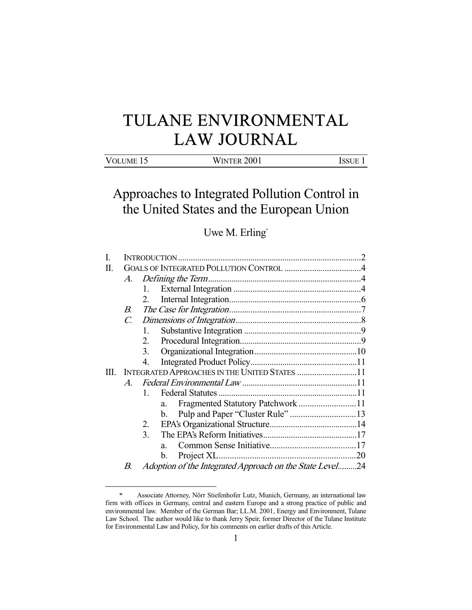# TULANE ENVIRONMENTAL LAW JOURNAL

| VOLUME 15 | <b>WINTER 2001</b> | ISSUE 1 |
|-----------|--------------------|---------|
|-----------|--------------------|---------|

## Approaches to Integrated Pollution Control in the United States and the European Union

### Uwe M. Erling\*

| П |                                               |                                                          |    |  |  |
|---|-----------------------------------------------|----------------------------------------------------------|----|--|--|
|   | A.                                            |                                                          |    |  |  |
|   |                                               | 1.                                                       |    |  |  |
|   |                                               | 2.                                                       |    |  |  |
|   | В.                                            |                                                          |    |  |  |
|   | $\mathcal{C}$                                 |                                                          |    |  |  |
|   |                                               | 1.                                                       |    |  |  |
|   |                                               | 2.                                                       |    |  |  |
|   |                                               | 3.                                                       |    |  |  |
|   |                                               | 4.                                                       |    |  |  |
| Ш | INTEGRATED APPROACHES IN THE UNITED STATES 11 |                                                          |    |  |  |
|   | $\boldsymbol{A}$                              |                                                          |    |  |  |
|   |                                               | $\mathbf{1}$                                             |    |  |  |
|   |                                               | a.                                                       |    |  |  |
|   |                                               | $\mathbf{b}$ .                                           |    |  |  |
|   |                                               | 2.                                                       |    |  |  |
|   |                                               | 3.                                                       |    |  |  |
|   |                                               | $a_{\cdot}$                                              |    |  |  |
|   |                                               | b.                                                       | 20 |  |  |
|   | B.                                            | Adoption of the Integrated Approach on the State Level24 |    |  |  |

-

<sup>\*</sup> Associate Attorney, Nörr Stiefenhofer Lutz, Munich, Germany, an international law firm with offices in Germany, central and eastern Europe and a strong practice of public and environmental law. Member of the German Bar; LL.M. 2001, Energy and Environment, Tulane Law School. The author would like to thank Jerry Speir, former Director of the Tulane Institute for Environmental Law and Policy, for his comments on earlier drafts of this Article.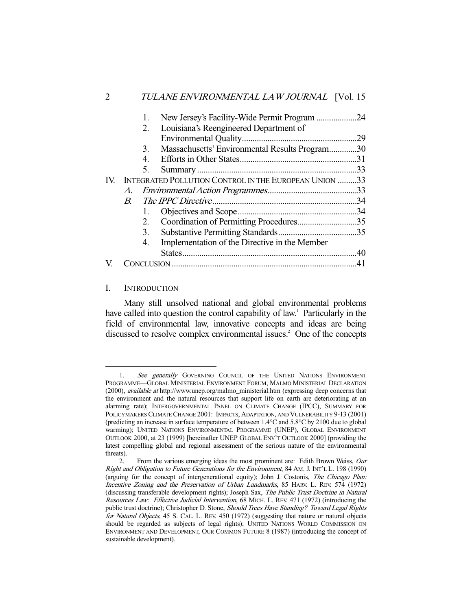|     |             |         | New Jersey's Facility-Wide Permit Program 24          |  |
|-----|-------------|---------|-------------------------------------------------------|--|
|     |             | 2.      | Louisiana's Reengineered Department of                |  |
|     |             |         |                                                       |  |
|     |             | 3.      | Massachusetts' Environmental Results Program30        |  |
|     |             | 4.      |                                                       |  |
|     |             | 5.      |                                                       |  |
| IV. |             |         | INTEGRATED POLLUTION CONTROL IN THE EUROPEAN UNION 33 |  |
|     | A.          |         |                                                       |  |
|     | $B_{\cdot}$ |         |                                                       |  |
|     |             | 1.      |                                                       |  |
|     |             | $2_{1}$ | Coordination of Permitting Procedures35               |  |
|     |             | 3.      |                                                       |  |
|     |             | 4.      | Implementation of the Directive in the Member         |  |
|     |             |         |                                                       |  |
|     |             |         |                                                       |  |
|     |             |         |                                                       |  |

#### I. INTRODUCTION

 Many still unsolved national and global environmental problems have called into question the control capability of law.<sup>1</sup> Particularly in the field of environmental law, innovative concepts and ideas are being discussed to resolve complex environmental issues. $2$  One of the concepts

<sup>1.</sup> See generally GOVERNING COUNCIL OF THE UNITED NATIONS ENVIRONMENT PROGRAMME—GLOBAL MINISTERIAL ENVIRONMENT FORUM, MALMÖ MINISTERIAL DECLARATION (2000), available at http://www.unep.org/malmo\_ministerial.htm (expressing deep concerns that the environment and the natural resources that support life on earth are deteriorating at an alarming rate); INTERGOVERNMENTAL PANEL ON CLIMATE CHANGE (IPCC), SUMMARY FOR POLICYMAKERS CLIMATE CHANGE 2001: IMPACTS, ADAPTATION, AND VULNERABILITY 9-13 (2001) (predicting an increase in surface temperature of between 1.4°C and 5.8°C by 2100 due to global warming); UNITED NATIONS ENVIRONMENTAL PROGRAMME (UNEP), GLOBAL ENVIRONMENT OUTLOOK 2000, at 23 (1999) [hereinafter UNEP GLOBAL ENV'T OUTLOOK 2000] (providing the latest compelling global and regional assessment of the serious nature of the environmental threats).

<sup>2.</sup> From the various emerging ideas the most prominent are: Edith Brown Weiss, Our Right and Obligation to Future Generations for the Environment, 84 AM. J. INT'L L. 198 (1990) (arguing for the concept of intergenerational equity); John J. Costonis, The Chicago Plan: Incentive Zoning and the Preservation of Urban Landmarks, 85 HARV. L. REV. 574 (1972) (discussing transferable development rights); Joseph Sax, The Public Trust Doctrine in Natural Resources Law: Effective Judicial Intervention, 68 MICH. L. REV. 471 (1972) (introducing the public trust doctrine); Christopher D. Stone, Should Trees Have Standing? Toward Legal Rights for Natural Objects, 45 S. CAL. L. REV. 450 (1972) (suggesting that nature or natural objects should be regarded as subjects of legal rights); UNITED NATIONS WORLD COMMISSION ON ENVIRONMENT AND DEVELOPMENT, OUR COMMON FUTURE 8 (1987) (introducing the concept of sustainable development).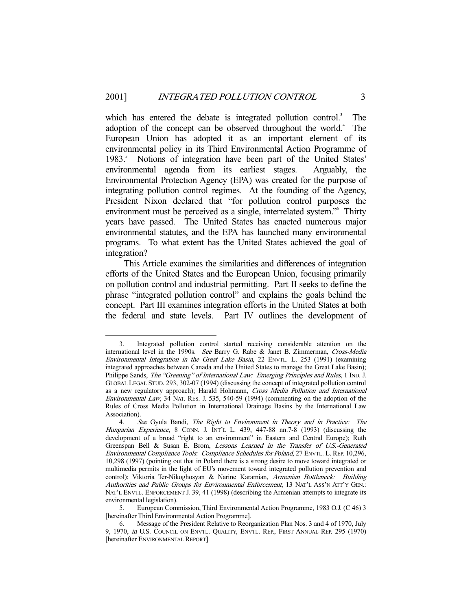which has entered the debate is integrated pollution control.<sup>3</sup> The adoption of the concept can be observed throughout the world.<sup>4</sup> The European Union has adopted it as an important element of its environmental policy in its Third Environmental Action Programme of 1983.<sup>5</sup> Notions of integration have been part of the United States' environmental agenda from its earliest stages. Arguably, the Environmental Protection Agency (EPA) was created for the purpose of integrating pollution control regimes. At the founding of the Agency, President Nixon declared that "for pollution control purposes the environment must be perceived as a single, interrelated system."6 Thirty years have passed. The United States has enacted numerous major environmental statutes, and the EPA has launched many environmental programs. To what extent has the United States achieved the goal of integration?

 This Article examines the similarities and differences of integration efforts of the United States and the European Union, focusing primarily on pollution control and industrial permitting. Part II seeks to define the phrase "integrated pollution control" and explains the goals behind the concept. Part III examines integration efforts in the United States at both the federal and state levels. Part IV outlines the development of

 <sup>3.</sup> Integrated pollution control started receiving considerable attention on the international level in the 1990s. See Barry G. Rabe & Janet B. Zimmerman, Cross-Media Environmental Integration in the Great Lake Basin, 22 ENVTL. L. 253 (1991) (examining integrated approaches between Canada and the United States to manage the Great Lake Basin); Philippe Sands, The "Greening" of International Law: Emerging Principles and Rules, 1 IND. J. GLOBAL LEGAL STUD. 293, 302-07 (1994) (discussing the concept of integrated pollution control as a new regulatory approach); Harald Hohmann, Cross Media Pollution and International Environmental Law, 34 NAT. RES. J. 535, 540-59 (1994) (commenting on the adoption of the Rules of Cross Media Pollution in International Drainage Basins by the International Law Association).

<sup>4.</sup> See Gyula Bandi, The Right to Environment in Theory and in Practice: The Hungarian Experience, 8 CONN. J. INT'L L. 439, 447-88 nn.7-8 (1993) (discussing the development of a broad "right to an environment" in Eastern and Central Europe); Ruth Greenspan Bell & Susan E. Brom, Lessons Learned in the Transfer of U.S.-Generated Environmental Compliance Tools: Compliance Schedules for Poland, 27 ENVTL. L. REP. 10,296, 10,298 (1997) (pointing out that in Poland there is a strong desire to move toward integrated or multimedia permits in the light of EU's movement toward integrated pollution prevention and control); Viktoria Ter-Nikoghosyan & Narine Karamian, Armenian Bottleneck: Building Authorities and Public Groups for Environmental Enforcement, 13 NAT'L ASS'N ATT'Y GEN.: NAT'L ENVTL. ENFORCEMENT J. 39, 41 (1998) (describing the Armenian attempts to integrate its environmental legislation).

<sup>5.</sup> European Commission, Third Environmental Action Programme, 1983 O.J. (C 46) 3 [hereinafter Third Environmental Action Programme].

<sup>6.</sup> Message of the President Relative to Reorganization Plan Nos. 3 and 4 of 1970, July 9, 1970, in U.S. COUNCIL ON ENVTL. QUALITY, ENVTL. REP., FIRST ANNUAL REP. 295 (1970) [hereinafter ENVIRONMENTAL REPORT].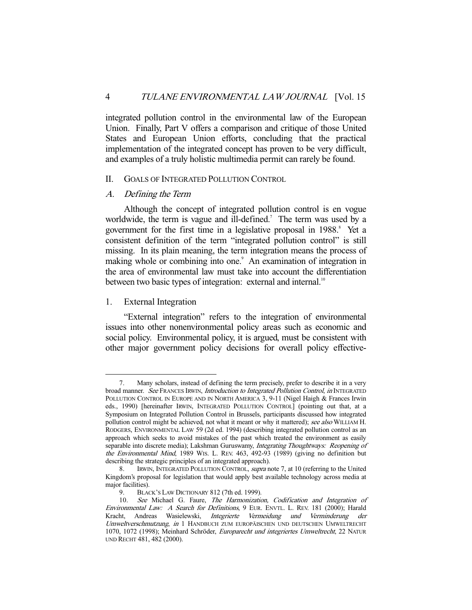integrated pollution control in the environmental law of the European Union. Finally, Part V offers a comparison and critique of those United States and European Union efforts, concluding that the practical implementation of the integrated concept has proven to be very difficult, and examples of a truly holistic multimedia permit can rarely be found.

#### II. GOALS OF INTEGRATED POLLUTION CONTROL

#### A. Defining the Term

 Although the concept of integrated pollution control is en vogue worldwide, the term is vague and ill-defined.<sup>7</sup> The term was used by a government for the first time in a legislative proposal in 1988.<sup>8</sup> Yet a consistent definition of the term "integrated pollution control" is still missing. In its plain meaning, the term integration means the process of making whole or combining into one.<sup>9</sup> An examination of integration in the area of environmental law must take into account the differentiation between two basic types of integration: external and internal.<sup>10</sup>

#### 1. External Integration

 "External integration" refers to the integration of environmental issues into other nonenvironmental policy areas such as economic and social policy. Environmental policy, it is argued, must be consistent with other major government policy decisions for overall policy effective-

 <sup>7.</sup> Many scholars, instead of defining the term precisely, prefer to describe it in a very broad manner. See FRANCES IRWIN, Introduction to Integrated Pollution Control, in INTEGRATED POLLUTION CONTROL IN EUROPE AND IN NORTH AMERICA 3, 9-11 (Nigel Haigh & Frances Irwin eds., 1990) [hereinafter IRWIN, INTEGRATED POLLUTION CONTROL] (pointing out that, at a Symposium on Integrated Pollution Control in Brussels, participants discussed how integrated pollution control might be achieved, not what it meant or why it mattered); see also WILLIAM H. RODGERS, ENVIRONMENTAL LAW 59 (2d ed. 1994) (describing integrated pollution control as an approach which seeks to avoid mistakes of the past which treated the environment as easily separable into discrete media); Lakshman Guruswamy, Integrating Thoughtways: Reopening of the Environmental Mind, 1989 WIS. L. REV. 463, 492-93 (1989) (giving no definition but describing the strategic principles of an integrated approach).

<sup>8.</sup> IRWIN, INTEGRATED POLLUTION CONTROL, supra note 7, at 10 (referring to the United Kingdom's proposal for legislation that would apply best available technology across media at major facilities).

<sup>9.</sup> BLACK'S LAW DICTIONARY 812 (7th ed. 1999).

<sup>10.</sup> See Michael G. Faure, The Harmonization, Codification and Integration of Environmental Law: A Search for Definitions, 9 EUR. ENVTL. L. REV. 181 (2000); Harald Kracht, Andreas Wasielewski, Integrierte Vermeidung und Verminderung der Umweltverschmutzung, in 1 HANDBUCH ZUM EUROPÄISCHEN UND DEUTSCHEN UMWELTRECHT 1070, 1072 (1998); Meinhard Schröder, Europarecht und integriertes Umweltrecht, 22 NATUR UND RECHT 481, 482 (2000).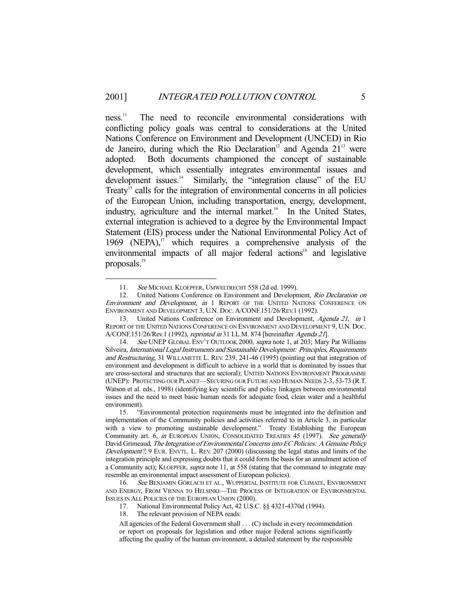ness.<sup>11</sup> The need to reconcile environmental considerations with conflicting policy goals was central to considerations at the United Nations Conference on Environment and Development (UNCED) in Rio de Janeiro, during which the Rio Declaration<sup>12</sup> and Agenda  $21<sup>13</sup>$  were adopted. Both documents championed the concept of sustainable development, which essentially integrates environmental issues and development issues.<sup>14</sup> Similarly, the "integration clause" of the EU Treaty<sup>15</sup> calls for the integration of environmental concerns in all policies of the European Union, including transportation, energy, development, industry, agriculture and the internal market.<sup>16</sup> In the United States, external integration is achieved to a degree by the Environmental Impact Statement (EIS) process under the National Environmental Policy Act of 1969 (NEPA), $17$  which requires a comprehensive analysis of the environmental impacts of all major federal actions<sup>18</sup> and legislative proposals.<sup>19</sup>

<sup>11.</sup> See MICHAEL KLOEPFER, UMWELTRECHT 558 (2d ed. 1999).

<sup>12.</sup> United Nations Conference on Environment and Development, Rio Declaration on Environment and Development, in 1 REPORT OF THE UNITED NATIONS CONFERENCE ON ENVIRONMENT AND DEVELOPMENT 3, U.N. DOC. A/CONF.151/26/REV.1 (1992).

<sup>13.</sup> United Nations Conference on Environment and Development, Agenda <sup>21</sup>, in 1 REPORT OF THE UNITED NATIONS CONFERENCE ON ENVIRONMENT AND DEVELOPMENT 9, U.N. DOC. A/CONF.151/26/Rev.1 (1992), reprinted in 31 I.L.M. 874 [hereinafter Agenda 21].

<sup>14.</sup> See UNEP GLOBAL ENV'T OUTLOOK 2000, supra note 1, at 203; Mary Pat Williams Silveira, International Legal Instruments and Sustainable Development: Principles, Requirements and Restructuring, 31 WILLAMETTE L. REV. 239, 241-46 (1995) (pointing out that integration of environment and development is difficult to achieve in a world that is dominated by issues that are cross-sectoral and structures that are sectoral); UNITED NATIONS ENVIRONMENT PROGRAMME (UNEP): PROTECTING OUR PLANET—SECURING OUR FUTURE AND HUMAN NEEDS 2-3, 53-73 (R.T. Watson et al. eds., 1998) (identifying key scientific and policy linkages between environmental issues and the need to meet basic human needs for adequate food, clean water and a healthful environment).

<sup>15. &</sup>quot;Environmental protection requirements must be integrated into the definition and implementation of the Community policies and activities referred to in Article 3, in particular with a view to promoting sustainable development." Treaty Establishing the European Community art. 6, in EUROPEAN UNION, CONSOLIDATED TREATIES 45 (1997). See generally David Grimeaud, The Integration of Environmental Concerns into EC Policies: A Genuine Policy Development?, 9 EUR. ENVTL. L. REV. 207 (2000) (discussing the legal status and limits of the integration principle and expressing doubts that it could form the basis for an annulment action of a Community act); KLOEPFER, supra note 11, at 558 (stating that the command to integrate may resemble an environmental impact assessment of European policies).

<sup>16.</sup> See BENJAMIN GÖRLACH ET AL., WUPPERTAL INSTITUTE FOR CLIMATE, ENVIRONMENT AND ENERGY, FROM VIENNA TO HELSINKI—THE PROCESS OF INTEGRATION OF ENVIRONMENTAL ISSUES IN ALL POLICIES OF THE EUROPEAN UNION (2000).

<sup>17.</sup> National Environmental Policy Act, 42 U.S.C. §§ 4321-4370d (1994).

<sup>18.</sup> The relevant provision of NEPA reads:

All agencies of the Federal Government shall . . . (C) include in every recommendation or report on proposals for legislation and other major Federal actions significantly affecting the quality of the human environment, a detailed statement by the responsible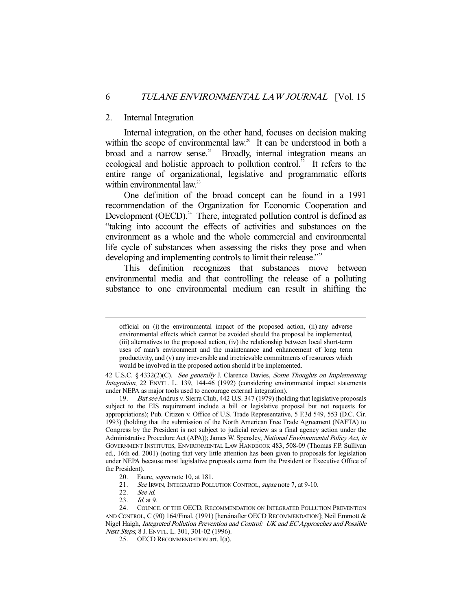#### 2. Internal Integration

 Internal integration, on the other hand, focuses on decision making within the scope of environmental law.<sup>20</sup> It can be understood in both a broad and a narrow sense.<sup>21</sup> Broadly, internal integration means an ecological and holistic approach to pollution control.<sup>22</sup> It refers to the entire range of organizational, legislative and programmatic efforts within environmental law.<sup>23</sup>

 One definition of the broad concept can be found in a 1991 recommendation of the Organization for Economic Cooperation and Development  $(OECD)$ <sup>24</sup>. There, integrated pollution control is defined as "taking into account the effects of activities and substances on the environment as a whole and the whole commercial and environmental life cycle of substances when assessing the risks they pose and when developing and implementing controls to limit their release."<sup>25</sup>

 This definition recognizes that substances move between environmental media and that controlling the release of a polluting substance to one environmental medium can result in shifting the

official on (i) the environmental impact of the proposed action, (ii) any adverse environmental effects which cannot be avoided should the proposal be implemented, (iii) alternatives to the proposed action, (iv) the relationship between local short-term uses of man's environment and the maintenance and enhancement of long term productivity, and (v) any irreversible and irretrievable commitments of resources which would be involved in the proposed action should it be implemented.

<sup>42</sup> U.S.C. § 4332(2)(C). See generally J. Clarence Davies, Some Thoughts on Implementing Integration, 22 ENVTL. L. 139, 144-46 (1992) (considering environmental impact statements under NEPA as major tools used to encourage external integration).

<sup>19.</sup> But see Andrus v. Sierra Club, 442 U.S. 347 (1979) (holding that legislative proposals subject to the EIS requirement include a bill or legislative proposal but not requests for appropriations); Pub. Citizen v. Office of U.S. Trade Representative, 5 F.3d 549, 553 (D.C. Cir. 1993) (holding that the submission of the North American Free Trade Agreement (NAFTA) to Congress by the President is not subject to judicial review as a final agency action under the Administrative Procedure Act (APA)); James W. Spensley, National Environmental Policy Act, in GOVERNMENT INSTITUTES, ENVIRONMENTAL LAW HANDBOOK 483, 508-09 (Thomas F.P. Sullivan ed., 16th ed. 2001) (noting that very little attention has been given to proposals for legislation under NEPA because most legislative proposals come from the President or Executive Office of the President).

<sup>20.</sup> Faure, *supra* note 10, at 181.<br>21. See IRWIN. INTEGRATED POLL

See IRWIN, INTEGRATED POLLUTION CONTROL, supra note 7, at 9-10.

<sup>22.</sup> See id.<br>23. Id. at 9  $Id$  at 9.

<sup>24.</sup> COUNCIL OF THE OECD, RECOMMENDATION ON INTEGRATED POLLUTION PREVENTION AND CONTROL, C (90) 164/Final, (1991) [hereinafter OECD RECOMMENDATION]; Neil Emmott & Nigel Haigh, Integrated Pollution Prevention and Control: UK and EC Approaches and Possible Next Steps, 8 J. ENVTL. L. 301, 301-02 (1996).

<sup>25.</sup> OECD RECOMMENDATION art. I(a).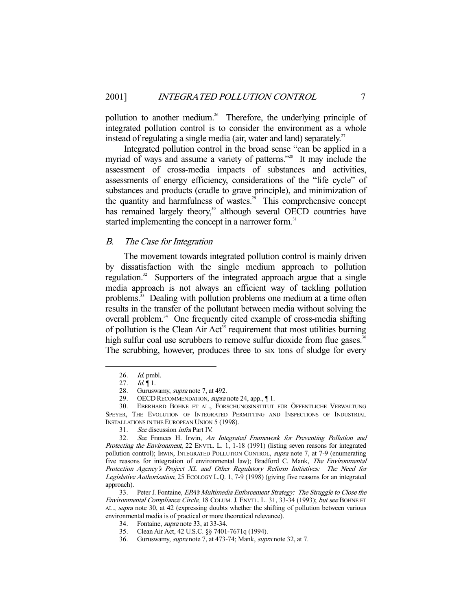pollution to another medium.<sup>26</sup> Therefore, the underlying principle of integrated pollution control is to consider the environment as a whole instead of regulating a single media (air, water and land) separately.<sup>27</sup>

 Integrated pollution control in the broad sense "can be applied in a myriad of ways and assume a variety of patterns."<sup>28</sup> It may include the assessment of cross-media impacts of substances and activities, assessments of energy efficiency, considerations of the "life cycle" of substances and products (cradle to grave principle), and minimization of the quantity and harmfulness of wastes.<sup>29</sup> This comprehensive concept has remained largely theory,<sup>30</sup> although several OECD countries have started implementing the concept in a narrower form.<sup>31</sup>

#### B. The Case for Integration

 The movement towards integrated pollution control is mainly driven by dissatisfaction with the single medium approach to pollution regulation.<sup>32</sup> Supporters of the integrated approach argue that a single media approach is not always an efficient way of tackling pollution problems.33 Dealing with pollution problems one medium at a time often results in the transfer of the pollutant between media without solving the overall problem.<sup>34</sup> One frequently cited example of cross-media shifting of pollution is the Clean Air Act<sup>35</sup> requirement that most utilities burning high sulfur coal use scrubbers to remove sulfur dioxide from flue gases.<sup>36</sup> The scrubbing, however, produces three to six tons of sludge for every

 <sup>26.</sup> Id. pmbl.

<sup>27.</sup> *Id.* | 1.

<sup>28.</sup> Guruswamy, *supra* note 7, at 492.

<sup>29.</sup> OECD RECOMMENDATION, *supra* note 24, app., 1.

<sup>30.</sup> EBERHARD BOHNE ET AL., FORSCHUNGSINSTITUT FÜR ÖFFENTLICHE VERWALTUNG SPEYER, THE EVOLUTION OF INTEGRATED PERMITTING AND INSPECTIONS OF INDUSTRIAL INSTALLATIONS IN THE EUROPEAN UNION 5 (1998).

<sup>31.</sup> See discussion infra Part IV.

<sup>32.</sup> See Frances H. Irwin, An Integrated Framework for Preventing Pollution and Protecting the Environment, 22 ENVTL. L. 1, 1-18 (1991) (listing seven reasons for integrated pollution control); IRWIN, INTEGRATED POLLUTION CONTROL, supra note 7, at 7-9 (enumerating five reasons for integration of environmental law); Bradford C. Mank, The Environmental Protection Agency's Project XL and Other Regulatory Reform Initiatives: The Need for Legislative Authorization, 25 ECOLOGY L.Q. 1, 7-9 (1998) (giving five reasons for an integrated approach).

<sup>33.</sup> Peter J. Fontaine, *EPA's Multimedia Enforcement Strategy: The Struggle to Close the* Environmental Compliance Circle, 18 COLUM. J. ENVTL. L. 31, 33-34 (1993); but see BOHNE ET AL., supra note 30, at 42 (expressing doubts whether the shifting of pollution between various environmental media is of practical or more theoretical relevance).

 <sup>34.</sup> Fontaine, supra note 33, at 33-34.

<sup>35.</sup> Clean Air Act, 42 U.S.C. §§ 7401-7671q (1994).

<sup>36.</sup> Guruswamy, supra note 7, at 473-74; Mank, supra note 32, at 7.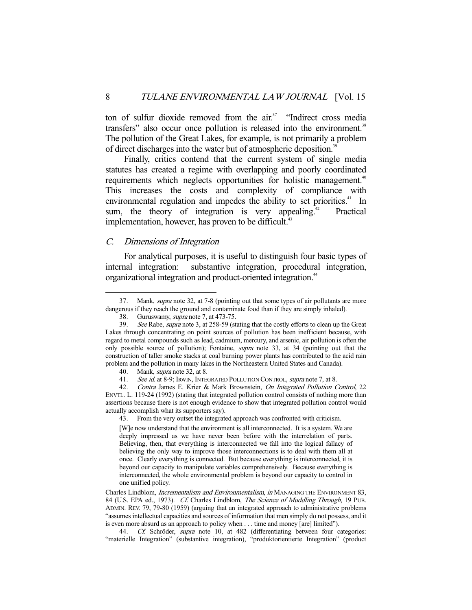ton of sulfur dioxide removed from the air.<sup>37</sup> "Indirect cross media transfers" also occur once pollution is released into the environment.<sup>38</sup> The pollution of the Great Lakes, for example, is not primarily a problem of direct discharges into the water but of atmospheric deposition.<sup>39</sup>

 Finally, critics contend that the current system of single media statutes has created a regime with overlapping and poorly coordinated requirements which neglects opportunities for holistic management.<sup>40</sup> This increases the costs and complexity of compliance with environmental regulation and impedes the ability to set priorities.<sup>41</sup> In sum, the theory of integration is very appealing.<sup>42</sup> Practical implementation, however, has proven to be difficult.<sup>43</sup>

#### C. Dimensions of Integration

 For analytical purposes, it is useful to distinguish four basic types of internal integration: substantive integration, procedural integration, organizational integration and product-oriented integration.<sup>44</sup>

43. From the very outset the integrated approach was confronted with criticism.

[W]e now understand that the environment is all interconnected. It is a system. We are deeply impressed as we have never been before with the interrelation of parts. Believing, then, that everything is interconnected we fall into the logical fallacy of believing the only way to improve those interconnections is to deal with them all at once. Clearly everything is connected. But because everything is interconnected, it is beyond our capacity to manipulate variables comprehensively. Because everything is interconnected, the whole environmental problem is beyond our capacity to control in one unified policy.

Charles Lindblom, Incrementalism and Environmentalism, in MANAGING THE ENVIRONMENT 83, 84 (U.S. EPA ed., 1973). Cf. Charles Lindblom, The Science of Muddling Through, 19 PUB. ADMIN. REV. 79, 79-80 (1959) (arguing that an integrated approach to administrative problems "assumes intellectual capacities and sources of information that men simply do not possess, and it is even more absurd as an approach to policy when . . . time and money [are] limited").

44. Cf. Schröder, supra note 10, at 482 (differentiating between four categories: "materielle Integration" (substantive integration), "produktorientierte Integration" (product

 <sup>37.</sup> Mank, supra note 32, at 7-8 (pointing out that some types of air pollutants are more dangerous if they reach the ground and contaminate food than if they are simply inhaled).

<sup>38.</sup> Guruswamy, supra note 7, at 473-75.

<sup>39.</sup> See Rabe, supra note 3, at 258-59 (stating that the costly efforts to clean up the Great Lakes through concentrating on point sources of pollution has been inefficient because, with regard to metal compounds such as lead, cadmium, mercury, and arsenic, air pollution is often the only possible source of pollution); Fontaine, supra note 33, at 34 (pointing out that the construction of taller smoke stacks at coal burning power plants has contributed to the acid rain problem and the pollution in many lakes in the Northeastern United States and Canada).

<sup>40.</sup> Mank, supra note 32, at 8.

<sup>41.</sup> See id. at 8-9; IRWIN, INTEGRATED POLLUTION CONTROL, supra note 7, at 8.

<sup>42.</sup> Contra James E. Krier & Mark Brownstein, On Integrated Pollution Control, 22 ENVTL. L. 119-24 (1992) (stating that integrated pollution control consists of nothing more than assertions because there is not enough evidence to show that integrated pollution control would actually accomplish what its supporters say).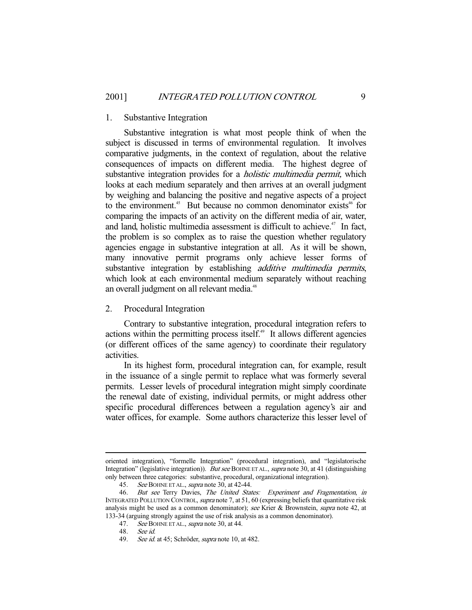#### 1. Substantive Integration

 Substantive integration is what most people think of when the subject is discussed in terms of environmental regulation. It involves comparative judgments, in the context of regulation, about the relative consequences of impacts on different media. The highest degree of substantive integration provides for a *holistic multimedia permit*, which looks at each medium separately and then arrives at an overall judgment by weighing and balancing the positive and negative aspects of a project to the environment.<sup>45</sup> But because no common denominator exists<sup>46</sup> for comparing the impacts of an activity on the different media of air, water, and land, holistic multimedia assessment is difficult to achieve.<sup> $47$ </sup> In fact, the problem is so complex as to raise the question whether regulatory agencies engage in substantive integration at all. As it will be shown, many innovative permit programs only achieve lesser forms of substantive integration by establishing *additive multimedia permits*, which look at each environmental medium separately without reaching an overall judgment on all relevant media.<sup>48</sup>

#### 2. Procedural Integration

 Contrary to substantive integration, procedural integration refers to actions within the permitting process itself.<sup>49</sup> It allows different agencies (or different offices of the same agency) to coordinate their regulatory activities.

 In its highest form, procedural integration can, for example, result in the issuance of a single permit to replace what was formerly several permits. Lesser levels of procedural integration might simply coordinate the renewal date of existing, individual permits, or might address other specific procedural differences between a regulation agency's air and water offices, for example. Some authors characterize this lesser level of

-

oriented integration), "formelle Integration" (procedural integration), and "legislatorische Integration" (legislative integration)). But see BOHNE ET AL., supra note 30, at 41 (distinguishing only between three categories: substantive, procedural, organizational integration).

<sup>45.</sup> See BOHNE ET AL., supra note 30, at 42-44.

<sup>46.</sup> But see Terry Davies, The United States: Experiment and Fragmentation, in INTEGRATED POLLUTION CONTROL, supra note 7, at 51, 60 (expressing beliefs that quantitative risk analysis might be used as a common denominator); see Krier & Brownstein, supra note 42, at 133-34 (arguing strongly against the use of risk analysis as a common denominator).

<sup>47.</sup> See BOHNE ET AL., *supra* note 30, at 44.

<sup>48.</sup> See id.

<sup>49.</sup> See id. at 45; Schröder, supra note 10, at 482.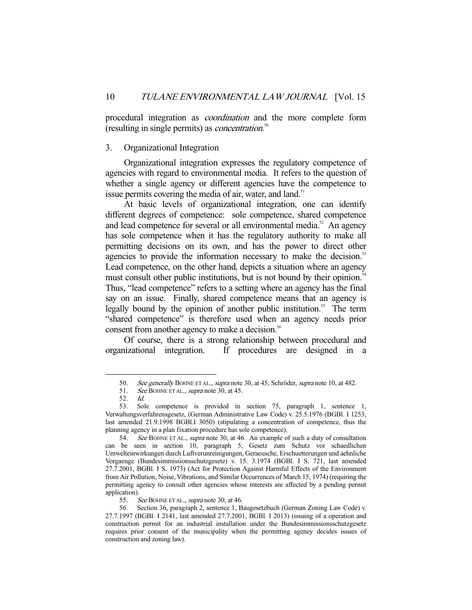procedural integration as coordination and the more complete form (resulting in single permits) as *concentration*.<sup>50</sup>

#### 3. Organizational Integration

 Organizational integration expresses the regulatory competence of agencies with regard to environmental media. It refers to the question of whether a single agency or different agencies have the competence to issue permits covering the media of air, water, and land.<sup>51</sup>

 At basic levels of organizational integration, one can identify different degrees of competence: sole competence, shared competence and lead competence for several or all environmental media.<sup>52</sup> An agency has sole competence when it has the regulatory authority to make all permitting decisions on its own, and has the power to direct other agencies to provide the information necessary to make the decision.<sup>53</sup> Lead competence, on the other hand, depicts a situation where an agency must consult other public institutions, but is not bound by their opinion.<sup>54</sup> Thus, "lead competence" refers to a setting where an agency has the final say on an issue. Finally, shared competence means that an agency is legally bound by the opinion of another public institution.<sup>55</sup> The term "shared competence" is therefore used when an agency needs prior consent from another agency to make a decision.<sup>56</sup>

 Of course, there is a strong relationship between procedural and organizational integration. If procedures are designed in a

<sup>50.</sup> See generally BOHNE ET AL., supra note 30, at 45; Schröder, supra note 10, at 482.

<sup>51.</sup> See BOHNE ET AL., *supra* note 30, at 45.

<sup>52.</sup> Id.

<sup>53.</sup> Sole competence is provided in section 75, paragraph 1, sentence 1, Verwaltungsverfahrensgesetz, (German Administrative Law Code) v. 25.5.1976 (BGBl. I 1253, last amended 21.9.1998 BGBl.I 3050) (stipulating a concentration of competence, thus the planning agency in a plan fixation procedure has sole competence).

<sup>54.</sup> See BOHNE ET AL., supra note 30, at 46. An example of such a duty of consultation can be seen in section 10, paragraph 5, Gesetz zum Schutz vor schaedlichen Umwelteinwirkungen durch Luftverunreinigungen, Geraeusche, Erschuetterungen und aehnliche Vorgaenge (Bundesimmissionsschutzgesetz) v. 15. 3.1974 (BGBl. I S. 721, last amended 27.7.2001, BGBl. I S. 1973) (Act for Protection Against Harmful Effects of the Environment from Air Pollution, Noise, Vibrations, and Similar Occurrences of March 15, 1974) (requiring the permitting agency to consult other agencies whose interests are affected by a pending permit application).

<sup>55.</sup> See BOHNE ET AL., *supra* note 30, at 46.

<sup>56.</sup> Section 36, paragraph 2, sentence 1, Baugesetzbuch (German Zoning Law Code) v. 27.7.1997 (BGBl. I 2141, last amended 27.7.2001, BGBl. I 2013) (issuing of a operation and construction permit for an industrial installation under the Bundesimmissionsschutzgesetz requires prior consent of the municipality when the permitting agency decides issues of construction and zoning law).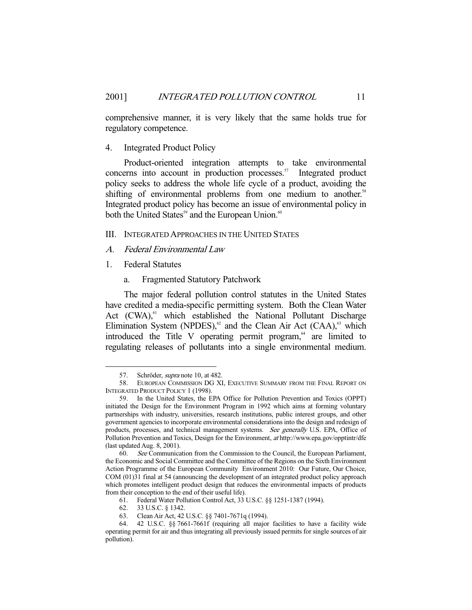comprehensive manner, it is very likely that the same holds true for regulatory competence.

#### 4. Integrated Product Policy

 Product-oriented integration attempts to take environmental concerns into account in production processes.<sup>57</sup> Integrated product policy seeks to address the whole life cycle of a product, avoiding the shifting of environmental problems from one medium to another.<sup>58</sup> Integrated product policy has become an issue of environmental policy in both the United States<sup>59</sup> and the European Union.<sup>60</sup>

#### III. INTEGRATED APPROACHES IN THE UNITED STATES

- A. Federal Environmental Law
- 1. Federal Statutes
	- a. Fragmented Statutory Patchwork

 The major federal pollution control statutes in the United States have credited a media-specific permitting system. Both the Clean Water Act (CWA),<sup>61</sup> which established the National Pollutant Discharge Elimination System (NPDES), $62$  and the Clean Air Act (CAA), $63$  which introduced the Title V operating permit program, $64$  are limited to regulating releases of pollutants into a single environmental medium.

<sup>57.</sup> Schröder, *supra* note 10, at 482.

<sup>58.</sup> EUROPEAN COMMISSION DG XI, EXECUTIVE SUMMARY FROM THE FINAL REPORT ON INTEGRATED PRODUCT POLICY 1 (1998).

<sup>59.</sup> In the United States, the EPA Office for Pollution Prevention and Toxics (OPPT) initiated the Design for the Environment Program in 1992 which aims at forming voluntary partnerships with industry, universities, research institutions, public interest groups, and other government agencies to incorporate environmental considerations into the design and redesign of products, processes, and technical management systems. See generally U.S. EPA, Office of Pollution Prevention and Toxics, Design for the Environment, at http://www.epa.gov/opptintr/dfe (last updated Aug. 8, 2001).

<sup>60.</sup> See Communication from the Commission to the Council, the European Parliament, the Economic and Social Committee and the Committee of the Regions on the Sixth Environment Action Programme of the European Community Environment 2010: Our Future, Our Choice, COM (01)31 final at 54 (announcing the development of an integrated product policy approach which promotes intelligent product design that reduces the environmental impacts of products from their conception to the end of their useful life).

<sup>61.</sup> Federal Water Pollution Control Act, 33 U.S.C. §§ 1251-1387 (1994).

<sup>62. 33</sup> U.S.C. § 1342.

<sup>63.</sup> Clean Air Act, 42 U.S.C. §§ 7401-7671q (1994).

<sup>64. 42</sup> U.S.C. §§ 7661-7661f (requiring all major facilities to have a facility wide operating permit for air and thus integrating all previously issued permits for single sources of air pollution).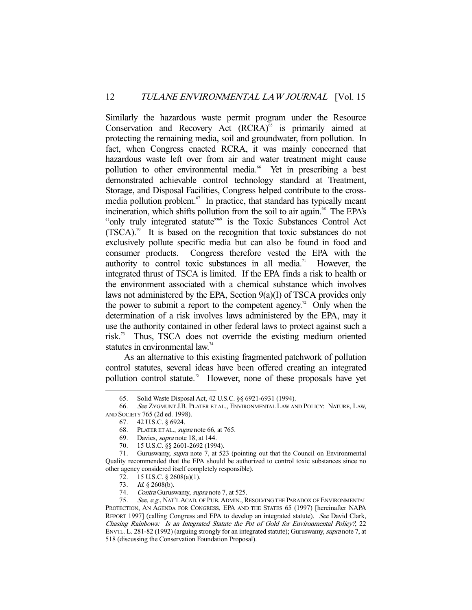Similarly the hazardous waste permit program under the Resource Conservation and Recovery Act  $(RCRA)$ <sup>65</sup> is primarily aimed at protecting the remaining media, soil and groundwater, from pollution. In fact, when Congress enacted RCRA, it was mainly concerned that hazardous waste left over from air and water treatment might cause pollution to other environmental media.<sup>66</sup> Yet in prescribing a best demonstrated achievable control technology standard at Treatment, Storage, and Disposal Facilities, Congress helped contribute to the crossmedia pollution problem.<sup>67</sup> In practice, that standard has typically meant incineration, which shifts pollution from the soil to air again.<sup>68</sup> The EPA's "only truly integrated statute"<sup>69</sup> is the Toxic Substances Control Act  $(TSCA).$ <sup>70</sup> It is based on the recognition that toxic substances do not exclusively pollute specific media but can also be found in food and consumer products. Congress therefore vested the EPA with the authority to control toxic substances in all media.<sup>71</sup> However, the integrated thrust of TSCA is limited. If the EPA finds a risk to health or the environment associated with a chemical substance which involves laws not administered by the EPA, Section 9(a)(I) of TSCA provides only the power to submit a report to the competent agency.<sup>72</sup> Only when the determination of a risk involves laws administered by the EPA, may it use the authority contained in other federal laws to protect against such a risk.73 Thus, TSCA does not override the existing medium oriented statutes in environmental law.<sup>74</sup>

 As an alternative to this existing fragmented patchwork of pollution control statutes, several ideas have been offered creating an integrated pollution control statute.<sup>75</sup> However, none of these proposals have yet

 <sup>65.</sup> Solid Waste Disposal Act, 42 U.S.C. §§ 6921-6931 (1994).

<sup>66.</sup> See ZYGMUNT J.B. PLATER ET AL., ENVIRONMENTAL LAW AND POLICY: NATURE, LAW, AND SOCIETY 765 (2d ed. 1998).

<sup>67. 42</sup> U.S.C. § 6924.

<sup>68.</sup> PLATER ET AL., *supra* note 66, at 765.

<sup>69.</sup> Davies, supra note 18, at 144.

<sup>70. 15</sup> U.S.C. §§ 2601-2692 (1994).

<sup>71.</sup> Guruswamy, *supra* note 7, at 523 (pointing out that the Council on Environmental Quality recommended that the EPA should be authorized to control toxic substances since no other agency considered itself completely responsible).

<sup>72. 15</sup> U.S.C. § 2608(a)(1).

<sup>73.</sup> *Id.* § 2608(b).

<sup>74.</sup> Contra Guruswamy, *supra* note 7, at 525.

<sup>75.</sup> See, e.g., NAT'L ACAD. OF PUB. ADMIN., RESOLVING THE PARADOX OF ENVIRONMENTAL PROTECTION, AN AGENDA FOR CONGRESS, EPA AND THE STATES 65 (1997) [hereinafter NAPA REPORT 1997] (calling Congress and EPA to develop an integrated statute). See David Clark, Chasing Rainbows: Is an Integrated Statute the Pot of Gold for Environmental Policy?, 22 ENVTL. L. 281-82 (1992) (arguing strongly for an integrated statute); Guruswamy, supra note 7, at 518 (discussing the Conservation Foundation Proposal).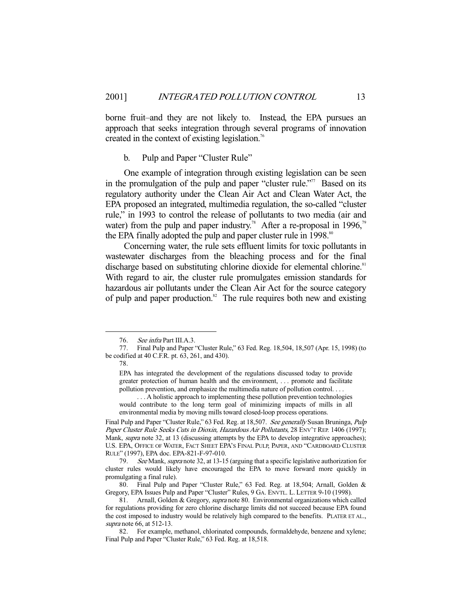borne fruit–and they are not likely to. Instead, the EPA pursues an approach that seeks integration through several programs of innovation created in the context of existing legislation.<sup>76</sup>

#### b. Pulp and Paper "Cluster Rule"

 One example of integration through existing legislation can be seen in the promulgation of the pulp and paper "cluster rule."<sup>77</sup> Based on its regulatory authority under the Clean Air Act and Clean Water Act, the EPA proposed an integrated, multimedia regulation, the so-called "cluster rule," in 1993 to control the release of pollutants to two media (air and water) from the pulp and paper industry.<sup>78</sup> After a re-proposal in 1996,<sup>79</sup> the EPA finally adopted the pulp and paper cluster rule in 1998.<sup>80</sup>

 Concerning water, the rule sets effluent limits for toxic pollutants in wastewater discharges from the bleaching process and for the final discharge based on substituting chlorine dioxide for elemental chlorine.<sup>81</sup> With regard to air, the cluster rule promulgates emission standards for hazardous air pollutants under the Clean Air Act for the source category of pulp and paper production. $82$  The rule requires both new and existing

78.

 . . . A holistic approach to implementing these pollution prevention technologies would contribute to the long term goal of minimizing impacts of mills in all environmental media by moving mills toward closed-loop process operations.

Final Pulp and Paper "Cluster Rule," 63 Fed. Reg. at 18,507. See generally Susan Bruninga, Pulp Paper Cluster Rule Seeks Cuts in Dioxin, Hazardous Air Pollutants, 28 ENV'T REP. 1406 (1997); Mank, supra note 32, at 13 (discussing attempts by the EPA to develop integrative approaches); U.S. EPA, OFFICE OF WATER, FACT SHEET EPA'S FINAL PULP, PAPER, AND "CARDBOARD CLUSTER RULE" (1997), EPA doc. EPA-821-F-97-010.

79. See Mank, supra note 32, at 13-15 (arguing that a specific legislative authorization for cluster rules would likely have encouraged the EPA to move forward more quickly in promulgating a final rule).

80. Final Pulp and Paper "Cluster Rule," 63 Fed. Reg. at 18,504; Arnall, Golden & Gregory, EPA Issues Pulp and Paper "Cluster" Rules, 9 GA. ENVTL. L. LETTER 9-10 (1998).

<sup>76.</sup> See infra Part III.A.3.

<sup>77.</sup> Final Pulp and Paper "Cluster Rule," 63 Fed. Reg. 18,504, 18,507 (Apr. 15, 1998) (to be codified at 40 C.F.R. pt. 63, 261, and 430).

EPA has integrated the development of the regulations discussed today to provide greater protection of human health and the environment, . . . promote and facilitate pollution prevention, and emphasize the multimedia nature of pollution control. . . .

<sup>81.</sup> Arnall, Golden & Gregory, supra note 80. Environmental organizations which called for regulations providing for zero chlorine discharge limits did not succeed because EPA found the cost imposed to industry would be relatively high compared to the benefits. PLATER ET AL., supra note 66, at 512-13.

<sup>82.</sup> For example, methanol, chlorinated compounds, formaldehyde, benzene and xylene; Final Pulp and Paper "Cluster Rule," 63 Fed. Reg. at 18,518.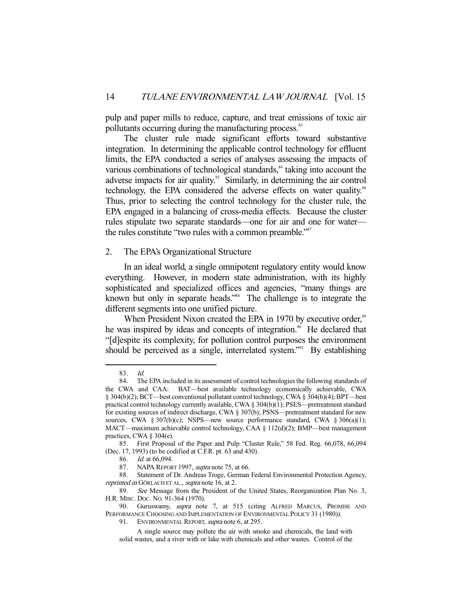pulp and paper mills to reduce, capture, and treat emissions of toxic air pollutants occurring during the manufacturing process.<sup>83</sup>

 The cluster rule made significant efforts toward substantive integration. In determining the applicable control technology for effluent limits, the EPA conducted a series of analyses assessing the impacts of various combinations of technological standards,<sup>84</sup> taking into account the adverse impacts for air quality.<sup>85</sup> Similarly, in determining the air control technology, the EPA considered the adverse effects on water quality.<sup>86</sup> Thus, prior to selecting the control technology for the cluster rule, the EPA engaged in a balancing of cross-media effects. Because the cluster rules stipulate two separate standards—one for air and one for water the rules constitute "two rules with a common preamble."<sup>87</sup>

#### 2. The EPA's Organizational Structure

 In an ideal world, a single omnipotent regulatory entity would know everything. However, in modern state administration, with its highly sophisticated and specialized offices and agencies, "many things are known but only in separate heads.<sup>"88</sup> The challenge is to integrate the different segments into one unified picture.

When President Nixon created the EPA in 1970 by executive order,<sup>89</sup> he was inspired by ideas and concepts of integration.<sup>90</sup> He declared that "[d]espite its complexity, for pollution control purposes the environment should be perceived as a single, interrelated system."<sup>91</sup> By establishing

-

<sup>83.</sup> *Id.*<br>84. The

The EPA included in its assessment of control technologies the following standards of the CWA and CAA: BAT—best available technology economically achievable, CWA § 304(b)(2); BCT—best conventional pollutant control technology, CWA § 304(b)(4); BPT—best practical control technology currently available, CWA § 304(b)(1); PSES—pretreatment standard for existing sources of indirect discharge, CWA § 307(b); PSNS—pretreatment standard for new sources, CWA § 307(b)(c); NSPS—new source performance standard, CWA § 306(a)(1); MACT—maximum achievable control technology, CAA  $\S$  112(d)(2); BMP—best management practices, CWA § 304(e).

<sup>85.</sup> First Proposal of the Paper and Pulp "Cluster Rule," 58 Fed. Reg. 66,078, 66,094 (Dec. 17, 1993) (to be codified at C.F.R. pt. 63 and 430).

<sup>86.</sup> *Id.* at 66,094.

<sup>87.</sup> NAPA REPORT 1997, *supra* note 75, at 66.

<sup>88.</sup> Statement of Dr. Andreas Troge, German Federal Environmental Protection Agency, reprinted in GÖRLACH ET AL., supra note 16, at 2.

<sup>89.</sup> See Message from the President of the United States, Reorganization Plan No. 3, H.R. MISC. DOC. NO. 91-364 (1970).

<sup>90.</sup> Guruswamy, *supra* note 7, at 515 (citing ALFRED MARCUS, PROMISE AND PERFORMANCE CHOOSING AND IMPLEMENTATION OF ENVIRONMENTAL POLICY 31 (1980)).

<sup>91.</sup> ENVIRONMENTAL REPORT, *supra* note 6, at 295.

A single source may pollute the air with smoke and chemicals, the land with solid wastes, and a river with or lake with chemicals and other wastes. Control of the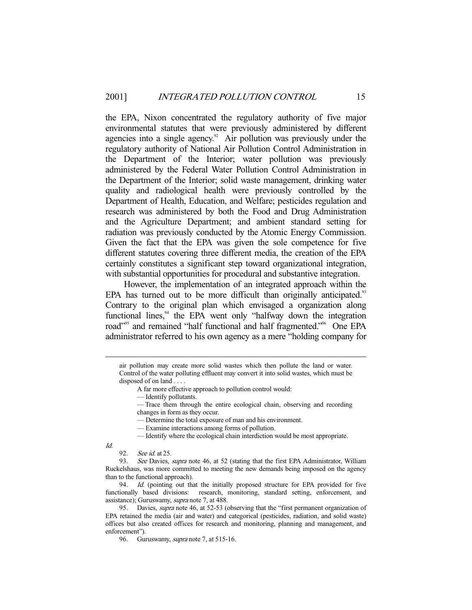the EPA, Nixon concentrated the regulatory authority of five major environmental statutes that were previously administered by different agencies into a single agency.<sup>92</sup> Air pollution was previously under the regulatory authority of National Air Pollution Control Administration in the Department of the Interior; water pollution was previously administered by the Federal Water Pollution Control Administration in the Department of the Interior; solid waste management, drinking water quality and radiological health were previously controlled by the Department of Health, Education, and Welfare; pesticides regulation and research was administered by both the Food and Drug Administration and the Agriculture Department; and ambient standard setting for radiation was previously conducted by the Atomic Energy Commission. Given the fact that the EPA was given the sole competence for five different statutes covering three different media, the creation of the EPA certainly constitutes a significant step toward organizational integration, with substantial opportunities for procedural and substantive integration.

 However, the implementation of an integrated approach within the EPA has turned out to be more difficult than originally anticipated.<sup>93</sup> Contrary to the original plan which envisaged a organization along functional lines, $4$  the EPA went only "halfway down the integration road"<sup>95</sup> and remained "half functional and half fragmented."<sup>96</sup> One EPA administrator referred to his own agency as a mere "holding company for

— Determine the total exposure of man and his environment.

— Identify where the ecological chain interdiction would be most appropriate.

Id.

air pollution may create more solid wastes which then pollute the land or water. Control of the water polluting effluent may convert it into solid wastes, which must be disposed of on land . . . .

A far more effective approach to pollution control would:

 <sup>—</sup> Identify pollutants.

 <sup>—</sup> Trace them through the entire ecological chain, observing and recording changes in form as they occur.

 <sup>—</sup> Examine interactions among forms of pollution.

<sup>92.</sup> See id. at 25.

<sup>93.</sup> See Davies, supra note 46, at 52 (stating that the first EPA Administrator, William Ruckelshaus, was more committed to meeting the new demands being imposed on the agency than to the functional approach).

<sup>94.</sup> Id. (pointing out that the initially proposed structure for EPA provided for five functionally based divisions: research, monitoring, standard setting, enforcement, and assistance); Guruswamy, supra note 7, at 488.

<sup>95.</sup> Davies, *supra* note 46, at 52-53 (observing that the "first permanent organization of EPA retained the media (air and water) and categorical (pesticides, radiation, and solid waste) offices but also created offices for research and monitoring, planning and management, and enforcement").

<sup>96.</sup> Guruswamy, *supra* note 7, at 515-16.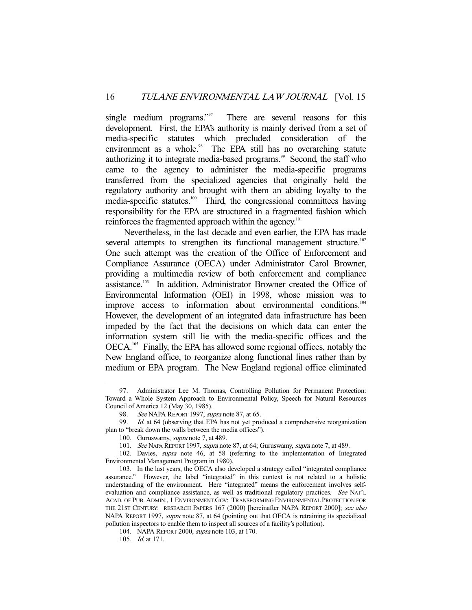single medium programs."<sup>97</sup> There are several reasons for this development. First, the EPA's authority is mainly derived from a set of media-specific statutes which precluded consideration of the environment as a whole.<sup>98</sup> The EPA still has no overarching statute authorizing it to integrate media-based programs.<sup>99</sup> Second, the staff who came to the agency to administer the media-specific programs transferred from the specialized agencies that originally held the regulatory authority and brought with them an abiding loyalty to the media-specific statutes.<sup>100</sup> Third, the congressional committees having responsibility for the EPA are structured in a fragmented fashion which reinforces the fragmented approach within the agency.<sup>101</sup>

 Nevertheless, in the last decade and even earlier, the EPA has made several attempts to strengthen its functional management structure.<sup>102</sup> One such attempt was the creation of the Office of Enforcement and Compliance Assurance (OECA) under Administrator Carol Browner, providing a multimedia review of both enforcement and compliance assistance.103 In addition, Administrator Browner created the Office of Environmental Information (OEI) in 1998, whose mission was to improve access to information about environmental conditions.<sup>104</sup> However, the development of an integrated data infrastructure has been impeded by the fact that the decisions on which data can enter the information system still lie with the media-specific offices and the OECA.<sup>105</sup> Finally, the EPA has allowed some regional offices, notably the New England office, to reorganize along functional lines rather than by medium or EPA program. The New England regional office eliminated

 <sup>97.</sup> Administrator Lee M. Thomas, Controlling Pollution for Permanent Protection: Toward a Whole System Approach to Environmental Policy, Speech for Natural Resources Council of America 12 (May 30, 1985).

<sup>98.</sup> See NAPA REPORT 1997, supra note 87, at 65.

<sup>99.</sup> Id. at 64 (observing that EPA has not yet produced a comprehensive reorganization plan to "break down the walls between the media offices").

<sup>100.</sup> Guruswamy, *supra* note 7, at 489.

<sup>101.</sup> See NAPA REPORT 1997, supra note 87, at 64; Guruswamy, supra note 7, at 489.

<sup>102.</sup> Davies, supra note 46, at 58 (referring to the implementation of Integrated Environmental Management Program in 1980).

<sup>103.</sup> In the last years, the OECA also developed a strategy called "integrated compliance assurance." However, the label "integrated" in this context is not related to a holistic understanding of the environment. Here "integrated" means the enforcement involves selfevaluation and compliance assistance, as well as traditional regulatory practices. See NAT'L ACAD. OF PUB. ADMIN., 1 ENVIRONMENT.GOV: TRANSFORMING ENVIRONMENTAL PROTECTION FOR THE 21ST CENTURY: RESEARCH PAPERS 167 (2000) [hereinafter NAPA REPORT 2000]; see also NAPA REPORT 1997, supra note 87, at 64 (pointing out that OECA is retraining its specialized pollution inspectors to enable them to inspect all sources of a facility's pollution).

<sup>104.</sup> NAPA REPORT 2000, supra note 103, at 170.

<sup>105.</sup> Id. at 171.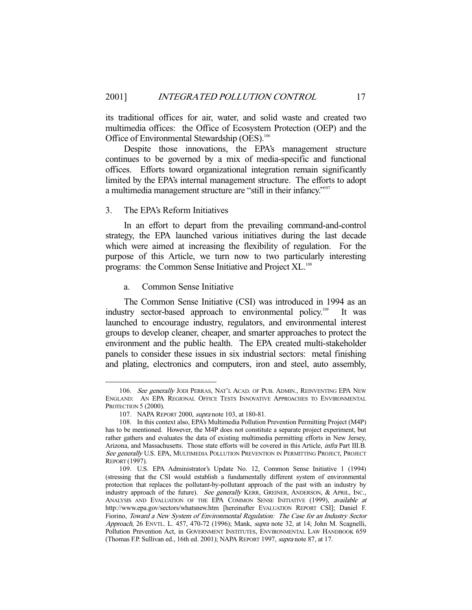its traditional offices for air, water, and solid waste and created two multimedia offices: the Office of Ecosystem Protection (OEP) and the Office of Environmental Stewardship (OES).<sup>106</sup>

 Despite those innovations, the EPA's management structure continues to be governed by a mix of media-specific and functional offices. Efforts toward organizational integration remain significantly limited by the EPA's internal management structure. The efforts to adopt a multimedia management structure are "still in their infancy."107

#### 3. The EPA's Reform Initiatives

 In an effort to depart from the prevailing command-and-control strategy, the EPA launched various initiatives during the last decade which were aimed at increasing the flexibility of regulation. For the purpose of this Article, we turn now to two particularly interesting programs: the Common Sense Initiative and Project XL.<sup>108</sup>

#### a. Common Sense Initiative

 The Common Sense Initiative (CSI) was introduced in 1994 as an industry sector-based approach to environmental policy.109 It was launched to encourage industry, regulators, and environmental interest groups to develop cleaner, cheaper, and smarter approaches to protect the environment and the public health. The EPA created multi-stakeholder panels to consider these issues in six industrial sectors: metal finishing and plating, electronics and computers, iron and steel, auto assembly,

<sup>106.</sup> See generally JODI PERRAS, NAT'L ACAD. OF PUB. ADMIN., REINVENTING EPA NEW ENGLAND: AN EPA REGIONAL OFFICE TESTS INNOVATIVE APPROACHES TO ENVIRONMENTAL PROTECTION 5 (2000).

<sup>107.</sup> NAPA REPORT 2000, supra note 103, at 180-81.

<sup>108.</sup> In this context also, EPA's Multimedia Pollution Prevention Permitting Project (M4P) has to be mentioned. However, the M4P does not constitute a separate project experiment, but rather gathers and evaluates the data of existing multimedia permitting efforts in New Jersey, Arizona, and Massachusetts. Those state efforts will be covered in this Article, infra Part III.B. See generally U.S. EPA, MULTIMEDIA POLLUTION PREVENTION IN PERMITTING PROJECT, PROJECT REPORT (1997).

<sup>109.</sup> U.S. EPA Administrator's Update No. 12, Common Sense Initiative 1 (1994) (stressing that the CSI would establish a fundamentally different system of environmental protection that replaces the pollutant-by-pollutant approach of the past with an industry by industry approach of the future). See generally KERR, GREINER, ANDERSON, & APRIL, INC., ANALYSIS AND EVALUATION OF THE EPA COMMON SENSE INITIATIVE (1999), available at http://www.epa.gov/sectors/whatsnew.htm [hereinafter EVALUATION REPORT CSI]; Daniel F. Fiorino, Toward a New System of Environmental Regulation: The Case for an Industry Sector Approach, 26 ENVTL. L. 457, 470-72 (1996); Mank, supra note 32, at 14; John M. Scagnelli, Pollution Prevention Act, in GOVERNMENT INSTITUTES, ENVIRONMENTAL LAW HANDBOOK 659 (Thomas F.P. Sullivan ed., 16th ed. 2001); NAPA REPORT 1997, supra note 87, at 17.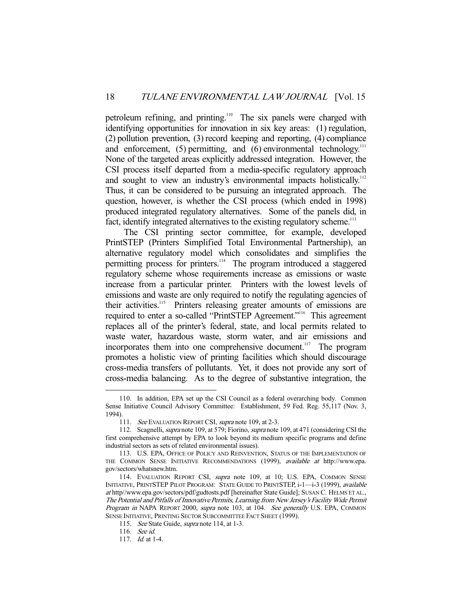petroleum refining, and printing.<sup>110</sup> The six panels were charged with identifying opportunities for innovation in six key areas: (1) regulation, (2) pollution prevention, (3) record keeping and reporting, (4) compliance and enforcement,  $(5)$  permitting, and  $(6)$  environmental technology.<sup>111</sup> None of the targeted areas explicitly addressed integration. However, the CSI process itself departed from a media-specific regulatory approach and sought to view an industry's environmental impacts holistically.<sup>112</sup> Thus, it can be considered to be pursuing an integrated approach. The question, however, is whether the CSI process (which ended in 1998) produced integrated regulatory alternatives. Some of the panels did, in fact, identify integrated alternatives to the existing regulatory scheme.<sup>113</sup>

 The CSI printing sector committee, for example, developed PrintSTEP (Printers Simplified Total Environmental Partnership), an alternative regulatory model which consolidates and simplifies the permitting process for printers.<sup>114</sup> The program introduced a staggered regulatory scheme whose requirements increase as emissions or waste increase from a particular printer. Printers with the lowest levels of emissions and waste are only required to notify the regulating agencies of their activities.115 Printers releasing greater amounts of emissions are required to enter a so-called "PrintSTEP Agreement."116 This agreement replaces all of the printer's federal, state, and local permits related to waste water, hazardous waste, storm water, and air emissions and incorporates them into one comprehensive document.<sup>117</sup> The program promotes a holistic view of printing facilities which should discourage cross-media transfers of pollutants. Yet, it does not provide any sort of cross-media balancing. As to the degree of substantive integration, the

 <sup>110.</sup> In addition, EPA set up the CSI Council as a federal overarching body. Common Sense Initiative Council Advisory Committee: Establishment, 59 Fed. Reg. 55,117 (Nov. 3, 1994).

<sup>111.</sup> See EVALUATION REPORT CSI, supra note 109, at 2-3.

<sup>112.</sup> Scagnelli, *supra* note 109, at 579; Fiorino, *supra* note 109, at 471 (considering CSI the first comprehensive attempt by EPA to look beyond its medium specific programs and define industrial sectors as sets of related environmental issues).

<sup>113.</sup> U.S. EPA, OFFICE OF POLICY AND REINVENTION, STATUS OF THE IMPLEMENTATION OF THE COMMON SENSE INITIATIVE RECOMMENDATIONS (1999), available at http://www.epa. gov/sectors/whatsnew.htm.

<sup>114.</sup> EVALUATION REPORT CSI, supra note 109, at 10; U.S. EPA, COMMON SENSE INITIATIVE, PRINTSTEP PILOT PROGRAM: STATE GUIDE TO PRINTSTEP, i-1—i-3 (1999), available at http//www.epa.gov/sectors/pdf/gudtosts.pdf [hereinafter State Guide]; SUSAN C. HELMS ET AL., The Potential and Pitfalls of Innovative Permits, Learning from New Jersey's Facility Wide Permit Program in NAPA REPORT 2000, supra note 103, at 104. See generally U.S. EPA, COMMON SENSE INITIATIVE, PRINTING SECTOR SUBCOMMITTEE FACT SHEET (1999).

<sup>115.</sup> See State Guide, supra note 114, at 1-3.

 <sup>116.</sup> See id.

<sup>117.</sup> *Id.* at 1-4.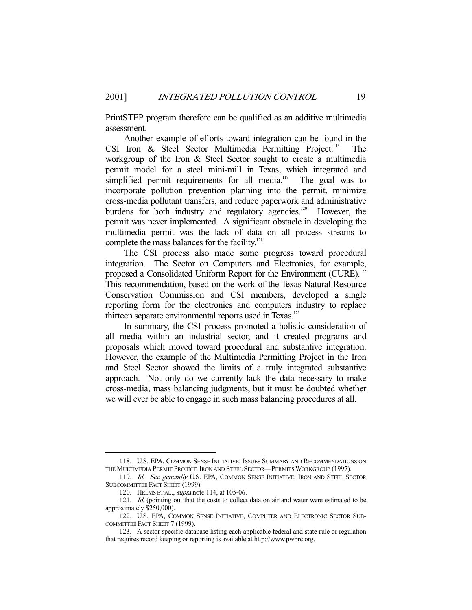PrintSTEP program therefore can be qualified as an additive multimedia assessment.

 Another example of efforts toward integration can be found in the CSI Iron  $\&$  Steel Sector Multimedia Permitting Project.<sup>118</sup> The workgroup of the Iron & Steel Sector sought to create a multimedia permit model for a steel mini-mill in Texas, which integrated and simplified permit requirements for all media.<sup>119</sup> The goal was to incorporate pollution prevention planning into the permit, minimize cross-media pollutant transfers, and reduce paperwork and administrative burdens for both industry and regulatory agencies.<sup>120</sup> However, the permit was never implemented. A significant obstacle in developing the multimedia permit was the lack of data on all process streams to complete the mass balances for the facility.<sup>121</sup>

 The CSI process also made some progress toward procedural integration. The Sector on Computers and Electronics, for example, proposed a Consolidated Uniform Report for the Environment (CURE).<sup>122</sup> This recommendation, based on the work of the Texas Natural Resource Conservation Commission and CSI members, developed a single reporting form for the electronics and computers industry to replace thirteen separate environmental reports used in Texas.<sup>123</sup>

 In summary, the CSI process promoted a holistic consideration of all media within an industrial sector, and it created programs and proposals which moved toward procedural and substantive integration. However, the example of the Multimedia Permitting Project in the Iron and Steel Sector showed the limits of a truly integrated substantive approach. Not only do we currently lack the data necessary to make cross-media, mass balancing judgments, but it must be doubted whether we will ever be able to engage in such mass balancing procedures at all.

 <sup>118.</sup> U.S. EPA, COMMON SENSE INITIATIVE, ISSUES SUMMARY AND RECOMMENDATIONS ON THE MULTIMEDIA PERMIT PROJECT, IRON AND STEEL SECTOR—PERMITS WORKGROUP (1997).

<sup>119.</sup> Id. See generally U.S. EPA, COMMON SENSE INITIATIVE, IRON AND STEEL SECTOR SUBCOMMITTEE FACT SHEET (1999).

<sup>120.</sup> HELMS ET AL., supra note 114, at 105-06.

<sup>121.</sup> *Id.* (pointing out that the costs to collect data on air and water were estimated to be approximately \$250,000).

<sup>122.</sup> U.S. EPA, COMMON SENSE INITIATIVE, COMPUTER AND ELECTRONIC SECTOR SUB-COMMITTEE FACT SHEET 7 (1999).

<sup>123.</sup> A sector specific database listing each applicable federal and state rule or regulation that requires record keeping or reporting is available at http://www.pwbrc.org.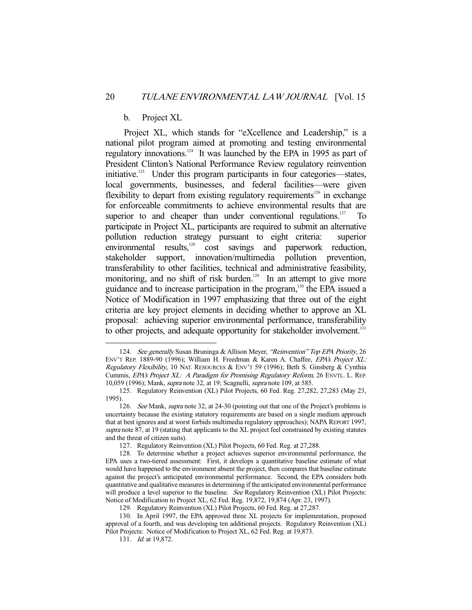#### b. Project XL

 Project XL, which stands for "eXcellence and Leadership," is a national pilot program aimed at promoting and testing environmental regulatory innovations.124 It was launched by the EPA in 1995 as part of President Clinton's National Performance Review regulatory reinvention initiative.<sup>125</sup> Under this program participants in four categories—states, local governments, businesses, and federal facilities—were given flexibility to depart from existing regulatory requirements<sup>126</sup> in exchange for enforceable commitments to achieve environmental results that are superior to and cheaper than under conventional regulations. $127$  To participate in Project XL, participants are required to submit an alternative pollution reduction strategy pursuant to eight criteria: superior environmental results,<sup>128</sup> cost savings and paperwork reduction, stakeholder support, innovation/multimedia pollution prevention, transferability to other facilities, technical and administrative feasibility, monitoring, and no shift of risk burden.<sup>129</sup> In an attempt to give more guidance and to increase participation in the program,130 the EPA issued a Notice of Modification in 1997 emphasizing that three out of the eight criteria are key project elements in deciding whether to approve an XL proposal: achieving superior environmental performance, transferability to other projects, and adequate opportunity for stakeholder involvement.<sup>131</sup>

<sup>124.</sup> See generally Susan Bruninga & Allison Meyer, "Reinvention" Top EPA Priority, 26 ENV'T REP. 1889-90 (1996); William H. Freedman & Karen A. Chaffee, EPA's Project XL: Regulatory Flexibility, 10 NAT. RESOURCES & ENV'T 59 (1996); Beth S. Ginsberg & Cynthia Cummis, EPA's Project XL: A Paradigm for Promising Regulatory Reform, 26 ENVTL. L. REP. 10,059 (1996); Mank, supra note 32, at 19; Scagnelli, supra note 109, at 585.

<sup>125.</sup> Regulatory Reinvention (XL) Pilot Projects, 60 Fed. Reg. 27,282, 27,283 (May 23, 1995).

<sup>126.</sup> See Mank, supra note 32, at 24-30 (pointing out that one of the Project's problems is uncertainty because the existing statutory requirements are based on a single medium approach that at best ignores and at worst forbids multimedia regulatory approaches); NAPA REPORT 1997, supra note 87, at 19 (stating that applicants to the XL project feel constrained by existing statutes and the threat of citizen suits).

<sup>127.</sup> Regulatory Reinvention (XL) Pilot Projects, 60 Fed. Reg. at 27,288.

<sup>128.</sup> To determine whether a project achieves superior environmental performance, the EPA uses a two-tiered assessment: First, it develops a quantitative baseline estimate of what would have happened to the environment absent the project, then compares that baseline estimate against the project's anticipated environmental performance. Second, the EPA considers both quantitative and qualitative measures in determining if the anticipated environmental performance will produce a level superior to the baseline. See Regulatory Reinvention (XL) Pilot Projects: Notice of Modification to Project XL, 62 Fed. Reg. 19,872, 19,874 (Apr. 23, 1997).

<sup>129.</sup> Regulatory Reinvention (XL) Pilot Projects, 60 Fed. Reg. at 27,287.

<sup>130.</sup> In April 1997, the EPA approved three XL projects for implementation, proposed approval of a fourth, and was developing ten additional projects. Regulatory Reinvention (XL) Pilot Projects: Notice of Modification to Project XL, 62 Fed. Reg. at 19,873.

<sup>131.</sup> Id. at 19,872.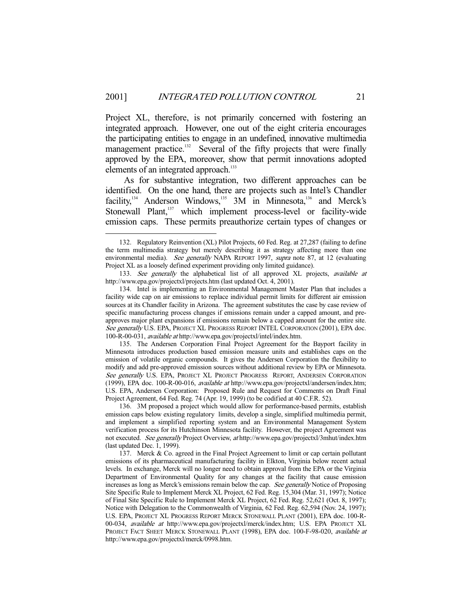Project XL, therefore, is not primarily concerned with fostering an integrated approach. However, one out of the eight criteria encourages the participating entities to engage in an undefined, innovative multimedia management practice.<sup>132</sup> Several of the fifty projects that were finally approved by the EPA, moreover, show that permit innovations adopted elements of an integrated approach.<sup>133</sup>

 As for substantive integration, two different approaches can be identified. On the one hand, there are projects such as Intel's Chandler facility,<sup>134</sup> Anderson Windows,<sup>135</sup> 3M in Minnesota,<sup>136</sup> and Merck's Stonewall Plant,<sup>137</sup> which implement process-level or facility-wide emission caps. These permits preauthorize certain types of changes or

 <sup>132.</sup> Regulatory Reinvention (XL) Pilot Projects, 60 Fed. Reg. at 27,287 (failing to define the term multimedia strategy but merely describing it as strategy affecting more than one environmental media). See generally NAPA REPORT 1997, supra note 87, at 12 (evaluating Project XL as a loosely defined experiment providing only limited guidance).

<sup>133.</sup> See generally the alphabetical list of all approved XL projects, available at http://www.epa.gov/projectxl/projects.htm (last updated Oct. 4, 2001).

<sup>134.</sup> Intel is implementing an Environmental Management Master Plan that includes a facility wide cap on air emissions to replace individual permit limits for different air emission sources at its Chandler facility in Arizona. The agreement substitutes the case by case review of specific manufacturing process changes if emissions remain under a capped amount, and preapproves major plant expansions if emissions remain below a capped amount for the entire site. See generally U.S. EPA, PROJECT XL PROGRESS REPORT INTEL CORPORATION (2001), EPA doc. 100-R-00-031, available at http://www.epa.gov/projectxl/intel/index.htm.

<sup>135.</sup> The Andersen Corporation Final Project Agreement for the Bayport facility in Minnesota introduces production based emission measure units and establishes caps on the emission of volatile organic compounds. It gives the Andersen Corporation the flexibility to modify and add pre-approved emission sources without additional review by EPA or Minnesota. See generally U.S. EPA, PROJECT XL PROJECT PROGRESS REPORT, ANDERSEN CORPORATION (1999), EPA doc. 100-R-00-016, available at http://www.epa.gov/projectxl/andersen/index.htm; U.S. EPA, Andersen Corporation: Proposed Rule and Request for Comments on Draft Final Project Agreement, 64 Fed. Reg. 74 (Apr. 19, 1999) (to be codified at 40 C.F.R. 52).

<sup>136. 3</sup>M proposed a project which would allow for performance-based permits, establish emission caps below existing regulatory limits, develop a single, simplified multimedia permit, and implement a simplified reporting system and an Environmental Management System verification process for its Hutchinson Minnesota facility. However, the project Agreement was not executed. See generally Project Overview, at http://www.epa.gov/projectxl/3mhut/index.htm (last updated Dec. 1, 1999).

<sup>137.</sup> Merck & Co. agreed in the Final Project Agreement to limit or cap certain pollutant emissions of its pharmaceutical manufacturing facility in Elkton, Virginia below recent actual levels. In exchange, Merck will no longer need to obtain approval from the EPA or the Virginia Department of Environmental Quality for any changes at the facility that cause emission increases as long as Merck's emissions remain below the cap. See generally Notice of Proposing Site Specific Rule to Implement Merck XL Project, 62 Fed. Reg. 15,304 (Mar. 31, 1997); Notice of Final Site Specific Rule to Implement Merck XL Project, 62 Fed. Reg. 52,621 (Oct. 8, 1997); Notice with Delegation to the Commonwealth of Virginia, 62 Fed. Reg. 62,594 (Nov. 24, 1997); U.S. EPA, PROJECT XL PROGRESS REPORT MERCK STONEWALL PLANT (2001), EPA doc. 100-R-00-034, available at http://www.epa.gov/projectxl/merck/index.htm; U.S. EPA PROJECT XL PROJECT FACT SHEET MERCK STONEWALL PLANT (1998), EPA doc. 100-F-98-020, available at http://www.epa.gov/projectxl/merck/0998.htm.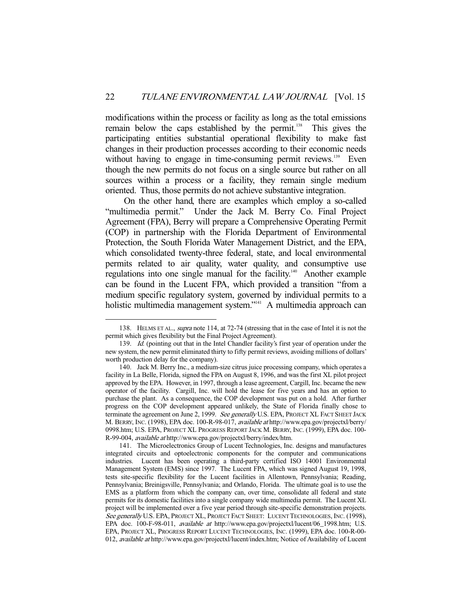modifications within the process or facility as long as the total emissions remain below the caps established by the permit.<sup>138</sup> This gives the participating entities substantial operational flexibility to make fast changes in their production processes according to their economic needs without having to engage in time-consuming permit reviews.<sup>139</sup> Even though the new permits do not focus on a single source but rather on all sources within a process or a facility, they remain single medium oriented. Thus, those permits do not achieve substantive integration.

 On the other hand, there are examples which employ a so-called "multimedia permit." Under the Jack M. Berry Co. Final Project Agreement (FPA), Berry will prepare a Comprehensive Operating Permit (COP) in partnership with the Florida Department of Environmental Protection, the South Florida Water Management District, and the EPA, which consolidated twenty-three federal, state, and local environmental permits related to air quality, water quality, and consumptive use regulations into one single manual for the facility.<sup>140</sup> Another example can be found in the Lucent FPA, which provided a transition "from a medium specific regulatory system, governed by individual permits to a holistic multimedia management system."<sup>141</sup> A multimedia approach can

 <sup>138.</sup> HELMS ET AL., supra note 114, at 72-74 (stressing that in the case of Intel it is not the permit which gives flexibility but the Final Project Agreement).

<sup>139.</sup> Id. (pointing out that in the Intel Chandler facility's first year of operation under the new system, the new permit eliminated thirty to fifty permit reviews, avoiding millions of dollars' worth production delay for the company).

<sup>140.</sup> Jack M. Berry Inc., a medium-size citrus juice processing company, which operates a facility in La Belle, Florida, signed the FPA on August 8, 1996, and was the first XL pilot project approved by the EPA. However, in 1997, through a lease agreement, Cargill, Inc. became the new operator of the facility. Cargill, Inc. will hold the lease for five years and has an option to purchase the plant. As a consequence, the COP development was put on a hold. After further progress on the COP development appeared unlikely, the State of Florida finally chose to terminate the agreement on June 2, 1999. See generally U.S. EPA, PROJECT XL FACT SHEET JACK M. BERRY, INC. (1998), EPA doc. 100-R-98-017, available at http://www.epa.gov/projectxl/berry/ 0998.htm; U.S. EPA, PROJECT XL PROGRESS REPORT JACK M. BERRY, INC. (1999), EPA doc. 100- R-99-004, available at http://www.epa.gov/projectxl/berry/index/htm.

<sup>141.</sup> The Microelectronics Group of Lucent Technologies, Inc. designs and manufactures integrated circuits and optoelectronic components for the computer and communications industries. Lucent has been operating a third-party certified ISO 14001 Environmental Management System (EMS) since 1997. The Lucent FPA, which was signed August 19, 1998, tests site-specific flexibility for the Lucent facilities in Allentown, Pennsylvania; Reading, Pennsylvania; Breinigsville, Pennsylvania; and Orlando, Florida. The ultimate goal is to use the EMS as a platform from which the company can, over time, consolidate all federal and state permits for its domestic facilities into a single company wide multimedia permit. The Lucent XL project will be implemented over a five year period through site-specific demonstration projects. See generally U.S. EPA, PROJECT XL, PROJECT FACT SHEET: LUCENT TECHNOLOGIES, INC. (1998), EPA doc. 100-F-98-011, available at http://www.epa.gov/projectxl/lucent/06\_1998.htm; U.S. EPA, PROJECT XL, PROGRESS REPORT LUCENT TECHNOLOGIES, INC. (1999), EPA doc. 100-R-00- 012, available at http://www.epa.gov/projectxl/lucent/index.htm; Notice of Availability of Lucent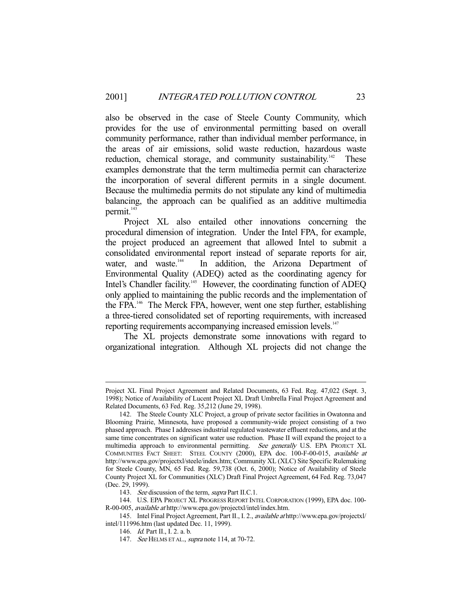also be observed in the case of Steele County Community, which provides for the use of environmental permitting based on overall community performance, rather than individual member performance, in the areas of air emissions, solid waste reduction, hazardous waste reduction, chemical storage, and community sustainability.<sup>142</sup> These examples demonstrate that the term multimedia permit can characterize the incorporation of several different permits in a single document. Because the multimedia permits do not stipulate any kind of multimedia balancing, the approach can be qualified as an additive multimedia permit.<sup>143</sup>

 Project XL also entailed other innovations concerning the procedural dimension of integration. Under the Intel FPA, for example, the project produced an agreement that allowed Intel to submit a consolidated environmental report instead of separate reports for air, water, and waste.<sup>144</sup> In addition, the Arizona Department of In addition, the Arizona Department of Environmental Quality (ADEQ) acted as the coordinating agency for Intel's Chandler facility.<sup>145</sup> However, the coordinating function of ADEQ only applied to maintaining the public records and the implementation of the FPA.146 The Merck FPA, however, went one step further, establishing a three-tiered consolidated set of reporting requirements, with increased reporting requirements accompanying increased emission levels.<sup>147</sup>

 The XL projects demonstrate some innovations with regard to organizational integration. Although XL projects did not change the

-

Project XL Final Project Agreement and Related Documents, 63 Fed. Reg. 47,022 (Sept. 3, 1998); Notice of Availability of Lucent Project XL Draft Umbrella Final Project Agreement and Related Documents, 63 Fed. Reg. 35,212 (June 29, 1998).

<sup>142.</sup> The Steele County XLC Project, a group of private sector facilities in Owatonna and Blooming Prairie, Minnesota, have proposed a community-wide project consisting of a two phased approach. Phase I addresses industrial regulated wastewater effluent reductions, and at the same time concentrates on significant water use reduction. Phase II will expand the project to a multimedia approach to environmental permitting. See generally U.S. EPA PROJECT XL COMMUNITIES FACT SHEET: STEEL COUNTY (2000), EPA doc. 100-F-00-015, available at http://www.epa.gov/projectxl/steele/index.htm; Community XL (XLC) Site Specific Rulemaking for Steele County, MN, 65 Fed. Reg. 59,738 (Oct. 6, 2000); Notice of Availability of Steele County Project XL for Communities (XLC) Draft Final Project Agreement, 64 Fed. Reg. 73,047 (Dec. 29, 1999).

<sup>143.</sup> See discussion of the term, supra Part II.C.1.

<sup>144.</sup> U.S. EPA PROJECT XL PROGRESS REPORT INTEL CORPORATION (1999), EPA doc. 100- R-00-005, available at http://www.epa.gov/projectxl/intel/index.htm.

<sup>145.</sup> Intel Final Project Agreement, Part II., I. 2., available at http://www.epa.gov/projectxl/ intel/111996.htm (last updated Dec. 11, 1999).

<sup>146.</sup> Id. Part II., I. 2. a. b.

<sup>147.</sup> See HELMS ET AL., *supra* note 114, at 70-72.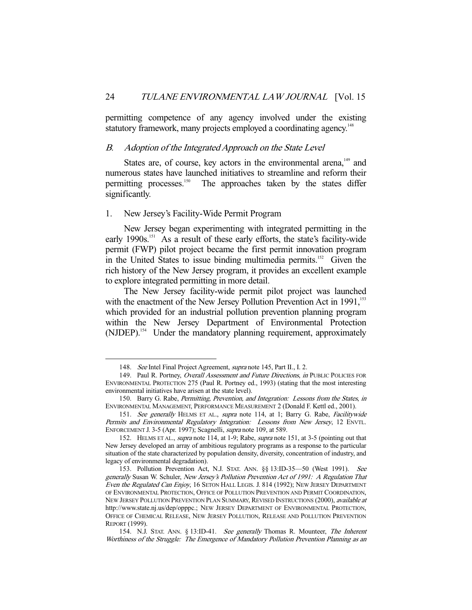permitting competence of any agency involved under the existing statutory framework, many projects employed a coordinating agency.<sup>148</sup>

#### B. Adoption of the Integrated Approach on the State Level

States are, of course, key actors in the environmental arena,<sup>149</sup> and numerous states have launched initiatives to streamline and reform their permitting processes.<sup>150</sup> The approaches taken by the states differ significantly.

#### 1. New Jersey's Facility-Wide Permit Program

 New Jersey began experimenting with integrated permitting in the early 1990s.<sup>151</sup> As a result of these early efforts, the state's facility-wide permit (FWP) pilot project became the first permit innovation program in the United States to issue binding multimedia permits.<sup>152</sup> Given the rich history of the New Jersey program, it provides an excellent example to explore integrated permitting in more detail.

 The New Jersey facility-wide permit pilot project was launched with the enactment of the New Jersey Pollution Prevention Act in 1991,<sup>153</sup> which provided for an industrial pollution prevention planning program within the New Jersey Department of Environmental Protection (NJDEP).<sup>154</sup> Under the mandatory planning requirement, approximately

 <sup>148.</sup> See Intel Final Project Agreement, supra note 145, Part II., I. 2.

<sup>149.</sup> Paul R. Portney, Overall Assessment and Future Directions, in PUBLIC POLICIES FOR ENVIRONMENTAL PROTECTION 275 (Paul R. Portney ed., 1993) (stating that the most interesting environmental initiatives have arisen at the state level).

<sup>150.</sup> Barry G. Rabe, Permitting, Prevention, and Integration: Lessons from the States, in ENVIRONMENTAL MANAGEMENT, PERFORMANCE MEASUREMENT 2 (Donald F. Kettl ed., 2001).

<sup>151.</sup> See generally HELMS ET AL., supra note 114, at 1; Barry G. Rabe, Facilitywide Permits and Environmental Regulatory Integration: Lessons from New Jersey, 12 ENVTL. ENFORCEMENT J. 3-5 (Apr. 1997); Scagnelli, supra note 109, at 589.

<sup>152.</sup> HELMS ET AL., supra note 114, at 1-9; Rabe, supra note 151, at 3-5 (pointing out that New Jersey developed an array of ambitious regulatory programs as a response to the particular situation of the state characterized by population density, diversity, concentration of industry, and legacy of environmental degradation).

<sup>153.</sup> Pollution Prevention Act, N.J. STAT. ANN. §§ 13:ID-35-50 (West 1991). See generally Susan W. Schuler, New Jersey's Pollution Prevention Act of 1991: A Regulation That Even the Regulated Can Enjoy, 16 SETON HALL LEGIS. J. 814 (1992); NEW JERSEY DEPARTMENT OF ENVIRONMENTAL PROTECTION, OFFICE OF POLLUTION PREVENTION AND PERMIT COORDINATION, NEW JERSEY POLLUTION PREVENTION PLAN SUMMARY, REVISED INSTRUCTIONS (2000), *available at* http://www.state.nj.us/dep/opppc.; NEW JERSEY DEPARTMENT OF ENVIRONMENTAL PROTECTION, OFFICE OF CHEMICAL RELEASE, NEW JERSEY POLLUTION, RELEASE AND POLLUTION PREVENTION REPORT (1999).

<sup>154.</sup> N.J. STAT. ANN. § 13:ID-41. See generally Thomas R. Mounteer, The Inherent Worthiness of the Struggle: The Emergence of Mandatory Pollution Prevention Planning as an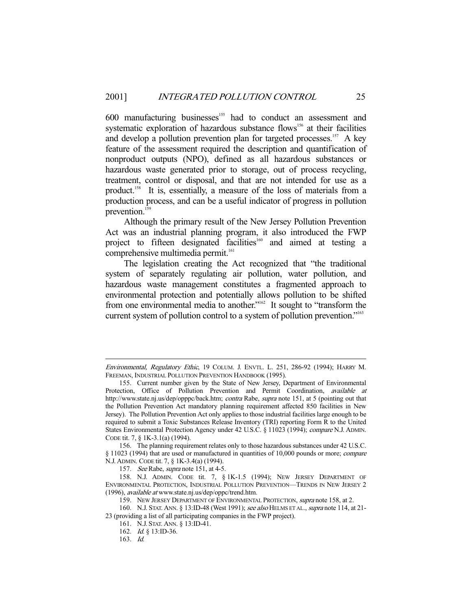600 manufacturing businesses<sup>155</sup> had to conduct an assessment and systematic exploration of hazardous substance flows<sup>156</sup> at their facilities and develop a pollution prevention plan for targeted processes.<sup>157</sup> A key feature of the assessment required the description and quantification of nonproduct outputs (NPO), defined as all hazardous substances or hazardous waste generated prior to storage, out of process recycling, treatment, control or disposal, and that are not intended for use as a product.<sup>158</sup> It is, essentially, a measure of the loss of materials from a production process, and can be a useful indicator of progress in pollution prevention.<sup>159</sup>

 Although the primary result of the New Jersey Pollution Prevention Act was an industrial planning program, it also introduced the FWP project to fifteen designated facilities<sup>160</sup> and aimed at testing a comprehensive multimedia permit.<sup>161</sup>

 The legislation creating the Act recognized that "the traditional system of separately regulating air pollution, water pollution, and hazardous waste management constitutes a fragmented approach to environmental protection and potentially allows pollution to be shifted from one environmental media to another."<sup>162</sup> It sought to "transform the current system of pollution control to a system of pollution prevention."<sup>163</sup>

156. The planning requirement relates only to those hazardous substances under 42 U.S.C. § 11023 (1994) that are used or manufactured in quantities of 10,000 pounds or more; compare N.J. ADMIN. CODE tit. 7, § 1K-3.4(a) (1994).

-

Environmental, Regulatory Ethic, 19 COLUM. J. ENVTL. L. 251, 286-92 (1994); HARRY M. FREEMAN, INDUSTRIAL POLLUTION PREVENTION HANDBOOK (1995).

<sup>155.</sup> Current number given by the State of New Jersey, Department of Environmental Protection, Office of Pollution Prevention and Permit Coordination, available at http://www.state.nj.us/dep/opppc/back.htm; *contra* Rabe, *supra* note 151, at 5 (pointing out that the Pollution Prevention Act mandatory planning requirement affected 850 facilities in New Jersey). The Pollution Prevention Act only applies to those industrial facilities large enough to be required to submit a Toxic Substances Release Inventory (TRI) reporting Form R to the United States Environmental Protection Agency under 42 U.S.C. § 11023 (1994); compare N.J. ADMIN. CODE tit. 7, § 1K-3.1(a) (1994).

<sup>157.</sup> See Rabe, supra note 151, at 4-5.

<sup>158.</sup> N.J. ADMIN. CODE tit. 7, § 1K-1.5 (1994); NEW JERSEY DEPARTMENT OF ENVIRONMENTAL PROTECTION, INDUSTRIAL POLLUTION PREVENTION—TRENDS IN NEW JERSEY 2 (1996), available at www.state.nj.us/dep/oppc/trend.htm.

<sup>159.</sup> NEW JERSEY DEPARTMENT OF ENVIRONMENTAL PROTECTION, supra note 158, at 2.

<sup>160.</sup> N.J. STAT. ANN. § 13:ID-48 (West 1991); see also HELMS ET AL., supra note 114, at 21-23 (providing a list of all participating companies in the FWP project).

<sup>161.</sup> N.J. STAT. ANN. § 13:ID-41.

<sup>162.</sup> Id. § 13:ID-36.

<sup>163.</sup> Id.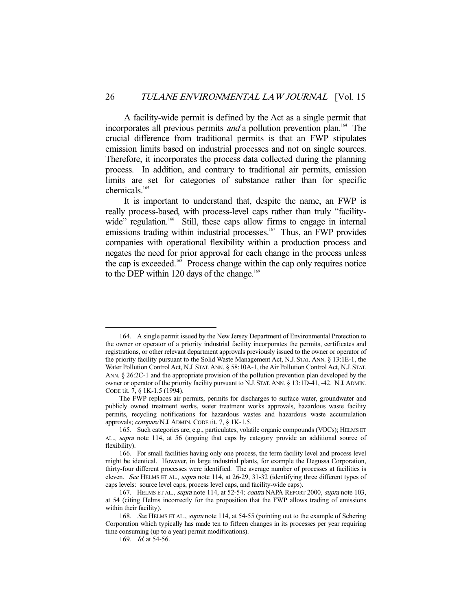A facility-wide permit is defined by the Act as a single permit that incorporates all previous permits *and* a pollution prevention plan.<sup>164</sup> The crucial difference from traditional permits is that an FWP stipulates emission limits based on industrial processes and not on single sources. Therefore, it incorporates the process data collected during the planning process. In addition, and contrary to traditional air permits, emission limits are set for categories of substance rather than for specific chemicals.<sup>165</sup>

 It is important to understand that, despite the name, an FWP is really process-based, with process-level caps rather than truly "facilitywide" regulation.<sup>166</sup> Still, these caps allow firms to engage in internal emissions trading within industrial processes.<sup>167</sup> Thus, an FWP provides companies with operational flexibility within a production process and negates the need for prior approval for each change in the process unless the cap is exceeded.<sup>168</sup> Process change within the cap only requires notice to the DEP within 120 days of the change.<sup>169</sup>

 <sup>164.</sup> A single permit issued by the New Jersey Department of Environmental Protection to the owner or operator of a priority industrial facility incorporates the permits, certificates and registrations, or other relevant department approvals previously issued to the owner or operator of the priority facility pursuant to the Solid Waste Management Act, N.J. STAT. ANN. § 13:1E-1, the Water Pollution Control Act, N.J. STAT. ANN. § 58:10A-1, the Air Pollution Control Act, N.J. STAT. ANN. § 26:2C-1 and the appropriate provision of the pollution prevention plan developed by the owner or operator of the priority facility pursuant to N.J. STAT. ANN. § 13:1D-41, -42. N.J. ADMIN. CODE tit. 7, § 1K-1.5 (1994).

The FWP replaces air permits, permits for discharges to surface water, groundwater and publicly owned treatment works, water treatment works approvals, hazardous waste facility permits, recycling notifications for hazardous wastes and hazardous waste accumulation approvals; compare N.J. ADMIN. CODE tit. 7, § 1K-1.5.

<sup>165.</sup> Such categories are, e.g., particulates, volatile organic compounds (VOCs); HELMS ET AL., supra note 114, at 56 (arguing that caps by category provide an additional source of flexibility).

<sup>166.</sup> For small facilities having only one process, the term facility level and process level might be identical. However, in large industrial plants, for example the Degussa Corporation, thirty-four different processes were identified. The average number of processes at facilities is eleven. See HELMS ET AL., supra note 114, at 26-29, 31-32 (identifying three different types of caps levels: source level caps, process level caps, and facility-wide caps).

<sup>167.</sup> HELMS ET AL., supra note 114, at 52-54; contra NAPA REPORT 2000, supra note 103, at 54 (citing Helms incorrectly for the proposition that the FWP allows trading of emissions within their facility).

<sup>168.</sup> See HELMS ET AL., supra note 114, at 54-55 (pointing out to the example of Schering Corporation which typically has made ten to fifteen changes in its processes per year requiring time consuming (up to a year) permit modifications).

<sup>169.</sup> *Id.* at 54-56.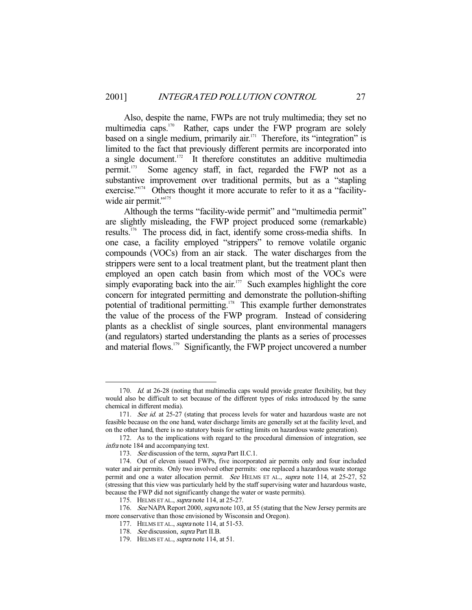Also, despite the name, FWPs are not truly multimedia; they set no multimedia caps.<sup>170</sup> Rather, caps under the FWP program are solely based on a single medium, primarily air.<sup>171</sup> Therefore, its "integration" is limited to the fact that previously different permits are incorporated into a single document. $172$  It therefore constitutes an additive multimedia permit.173 Some agency staff, in fact, regarded the FWP not as a substantive improvement over traditional permits, but as a "stapling exercise."<sup>174</sup> Others thought it more accurate to refer to it as a "facilitywide air permit."<sup>175</sup>

 Although the terms "facility-wide permit" and "multimedia permit" are slightly misleading, the FWP project produced some (remarkable) results.176 The process did, in fact, identify some cross-media shifts. In one case, a facility employed "strippers" to remove volatile organic compounds (VOCs) from an air stack. The water discharges from the strippers were sent to a local treatment plant, but the treatment plant then employed an open catch basin from which most of the VOCs were simply evaporating back into the air.<sup>177</sup> Such examples highlight the core concern for integrated permitting and demonstrate the pollution-shifting potential of traditional permitting.<sup>178</sup> This example further demonstrates the value of the process of the FWP program. Instead of considering plants as a checklist of single sources, plant environmental managers (and regulators) started understanding the plants as a series of processes and material flows.<sup>179</sup> Significantly, the FWP project uncovered a number

<sup>170.</sup> *Id.* at 26-28 (noting that multimedia caps would provide greater flexibility, but they would also be difficult to set because of the different types of risks introduced by the same chemical in different media).

<sup>171.</sup> See id. at 25-27 (stating that process levels for water and hazardous waste are not feasible because on the one hand, water discharge limits are generally set at the facility level, and on the other hand, there is no statutory basis for setting limits on hazardous waste generation).

<sup>172.</sup> As to the implications with regard to the procedural dimension of integration, see infra note 184 and accompanying text.

<sup>173.</sup> See discussion of the term, supra Part II.C.1.

<sup>174.</sup> Out of eleven issued FWPs, five incorporated air permits only and four included water and air permits. Only two involved other permits: one replaced a hazardous waste storage permit and one a water allocation permit. See HELMS ET AL., supra note 114, at 25-27, 52 (stressing that this view was particularly held by the staff supervising water and hazardous waste, because the FWP did not significantly change the water or waste permits).

<sup>175.</sup> HELMS ET AL., *supra* note 114, at 25-27.

<sup>176.</sup> See NAPA Report 2000, supra note 103, at 55 (stating that the New Jersey permits are more conservative than those envisioned by Wisconsin and Oregon).

<sup>177.</sup> HELMS ET AL., *supra* note 114, at 51-53.

<sup>178.</sup> See discussion, supra Part II.B.

<sup>179.</sup> HELMS ET AL., *supra* note 114, at 51.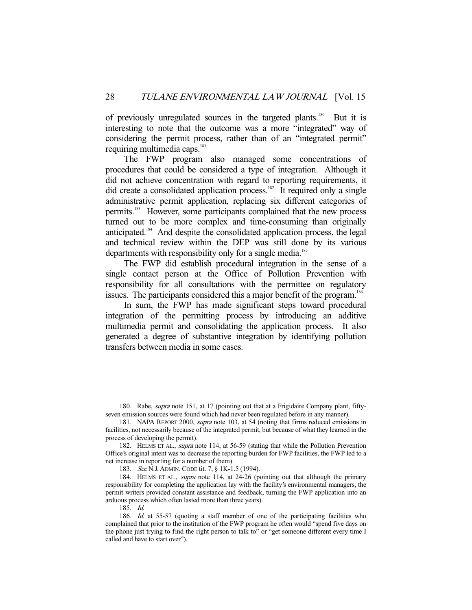of previously unregulated sources in the targeted plants.<sup>180</sup> But it is interesting to note that the outcome was a more "integrated" way of considering the permit process, rather than of an "integrated permit" requiring multimedia caps.<sup>181</sup>

 The FWP program also managed some concentrations of procedures that could be considered a type of integration. Although it did not achieve concentration with regard to reporting requirements, it did create a consolidated application process.<sup>182</sup> It required only a single administrative permit application, replacing six different categories of permits.<sup>183</sup> However, some participants complained that the new process turned out to be more complex and time-consuming than originally anticipated.184 And despite the consolidated application process, the legal and technical review within the DEP was still done by its various departments with responsibility only for a single media.<sup>185</sup>

 The FWP did establish procedural integration in the sense of a single contact person at the Office of Pollution Prevention with responsibility for all consultations with the permittee on regulatory issues. The participants considered this a major benefit of the program.<sup>186</sup>

 In sum, the FWP has made significant steps toward procedural integration of the permitting process by introducing an additive multimedia permit and consolidating the application process. It also generated a degree of substantive integration by identifying pollution transfers between media in some cases.

<sup>180.</sup> Rabe, *supra* note 151, at 17 (pointing out that at a Frigidaire Company plant, fiftyseven emission sources were found which had never been regulated before in any manner).

<sup>181.</sup> NAPA REPORT 2000, supra note 103, at 54 (noting that firms reduced emissions in facilities, not necessarily because of the integrated permit, but because of what they learned in the process of developing the permit).

<sup>182.</sup> HELMS ET AL., *supra* note 114, at 56-59 (stating that while the Pollution Prevention Office's original intent was to decrease the reporting burden for FWP facilities, the FWP led to a net increase in reporting for a number of them).

<sup>183.</sup> See N.J. ADMIN. CODE tit. 7, § 1K-1.5 (1994).

<sup>184.</sup> HELMS ET AL., supra note 114, at 24-26 (pointing out that although the primary responsibility for completing the application lay with the facility's environmental managers, the permit writers provided constant assistance and feedback, turning the FWP application into an arduous process which often lasted more than three years).

<sup>185.</sup> Id.

<sup>186.</sup> Id. at 55-57 (quoting a staff member of one of the participating facilities who complained that prior to the institution of the FWP program he often would "spend five days on the phone just trying to find the right person to talk to" or "get someone different every time I called and have to start over").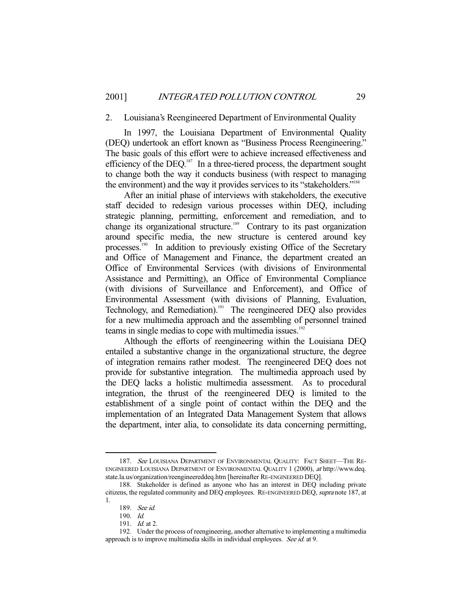#### 2. Louisiana's Reengineered Department of Environmental Quality

 In 1997, the Louisiana Department of Environmental Quality (DEQ) undertook an effort known as "Business Process Reengineering." The basic goals of this effort were to achieve increased effectiveness and efficiency of the DEQ.<sup>187</sup> In a three-tiered process, the department sought to change both the way it conducts business (with respect to managing the environment) and the way it provides services to its "stakeholders."<sup>188</sup>

 After an initial phase of interviews with stakeholders, the executive staff decided to redesign various processes within DEQ, including strategic planning, permitting, enforcement and remediation, and to change its organizational structure.<sup>189</sup> Contrary to its past organization around specific media, the new structure is centered around key processes.<sup>190</sup> In addition to previously existing Office of the Secretary and Office of Management and Finance, the department created an Office of Environmental Services (with divisions of Environmental Assistance and Permitting), an Office of Environmental Compliance (with divisions of Surveillance and Enforcement), and Office of Environmental Assessment (with divisions of Planning, Evaluation, Technology, and Remediation).<sup>191</sup> The reengineered DEQ also provides for a new multimedia approach and the assembling of personnel trained teams in single medias to cope with multimedia issues.<sup>192</sup>

 Although the efforts of reengineering within the Louisiana DEQ entailed a substantive change in the organizational structure, the degree of integration remains rather modest. The reengineered DEQ does not provide for substantive integration. The multimedia approach used by the DEQ lacks a holistic multimedia assessment. As to procedural integration, the thrust of the reengineered DEQ is limited to the establishment of a single point of contact within the DEQ and the implementation of an Integrated Data Management System that allows the department, inter alia, to consolidate its data concerning permitting,

<sup>187.</sup> See LOUISIANA DEPARTMENT OF ENVIRONMENTAL QUALITY: FACT SHEET—THE RE-ENGINEERED LOUISIANA DEPARTMENT OF ENVIRONMENTAL QUALITY 1 (2000), at http://www.deq. state.la.us/organization/reengineereddeq.htm [hereinafter RE-ENGINEERED DEQ].

 <sup>188.</sup> Stakeholder is defined as anyone who has an interest in DEQ including private citizens, the regulated community and DEQ employees. RE-ENGINEERED DEQ, supra note 187, at 1.

<sup>189.</sup> See id.

 <sup>190.</sup> Id.

<sup>191.</sup> *Id.* at 2.

<sup>192.</sup> Under the process of reengineering, another alternative to implementing a multimedia approach is to improve multimedia skills in individual employees. See id. at 9.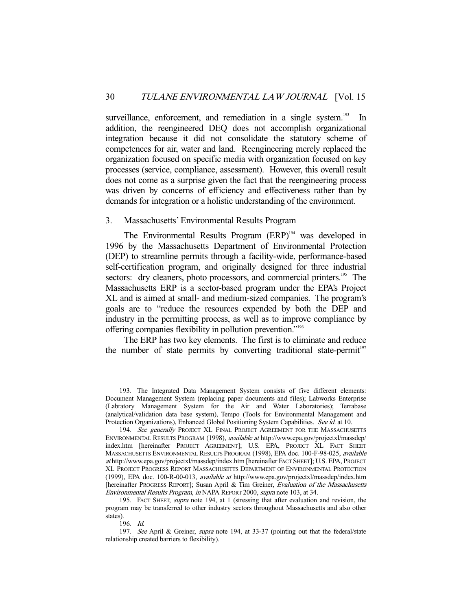surveillance, enforcement, and remediation in a single system.<sup>193</sup> In addition, the reengineered DEQ does not accomplish organizational integration because it did not consolidate the statutory scheme of competences for air, water and land. Reengineering merely replaced the organization focused on specific media with organization focused on key processes (service, compliance, assessment). However, this overall result does not come as a surprise given the fact that the reengineering process was driven by concerns of efficiency and effectiveness rather than by demands for integration or a holistic understanding of the environment.

#### 3. Massachusetts' Environmental Results Program

The Environmental Results Program (ERP)<sup>194</sup> was developed in 1996 by the Massachusetts Department of Environmental Protection (DEP) to streamline permits through a facility-wide, performance-based self-certification program, and originally designed for three industrial sectors: dry cleaners, photo processors, and commercial printers.<sup>195</sup> The Massachusetts ERP is a sector-based program under the EPA's Project XL and is aimed at small- and medium-sized companies. The program's goals are to "reduce the resources expended by both the DEP and industry in the permitting process, as well as to improve compliance by offering companies flexibility in pollution prevention."196

 The ERP has two key elements. The first is to eliminate and reduce the number of state permits by converting traditional state-permit<sup>197</sup>

 <sup>193.</sup> The Integrated Data Management System consists of five different elements: Document Management System (replacing paper documents and files); Labworks Enterprise (Labratory Management System for the Air and Water Laboratories); Terrabase (analytical/validation data base system), Tempo (Tools for Environmental Management and Protection Organizations), Enhanced Global Positioning System Capabilities. See id. at 10.

<sup>194.</sup> See generally PROJECT XL FINAL PROJECT AGREEMENT FOR THE MASSACHUSETTS ENVIRONMENTAL RESULTS PROGRAM (1998), available at http://www.epa.gov/projectxl/massdep/ index.htm [hereinafter PROJECT AGREEMENT]; U.S. EPA, PROJECT XL FACT SHEET MASSACHUSETTS ENVIRONMENTAL RESULTS PROGRAM (1998), EPA doc. 100-F-98-025, available at http://www.epa.gov/projectxl/massdep/index.htm [hereinafter FACT SHEET]; U.S. EPA, PROJECT XL PROJECT PROGRESS REPORT MASSACHUSETTS DEPARTMENT OF ENVIRONMENTAL PROTECTION (1999), EPA doc. 100-R-00-013, available at http://www.epa.gov/projectxl/massdep/index.htm [hereinafter PROGRESS REPORT]; Susan April & Tim Greiner, Evaluation of the Massachusetts Environmental Results Program, in NAPA REPORT 2000, supra note 103, at 34.

<sup>195.</sup> FACT SHEET, supra note 194, at 1 (stressing that after evaluation and revision, the program may be transferred to other industry sectors throughout Massachusetts and also other states).

<sup>196.</sup> Id.

<sup>197.</sup> See April & Greiner, supra note 194, at 33-37 (pointing out that the federal/state relationship created barriers to flexibility).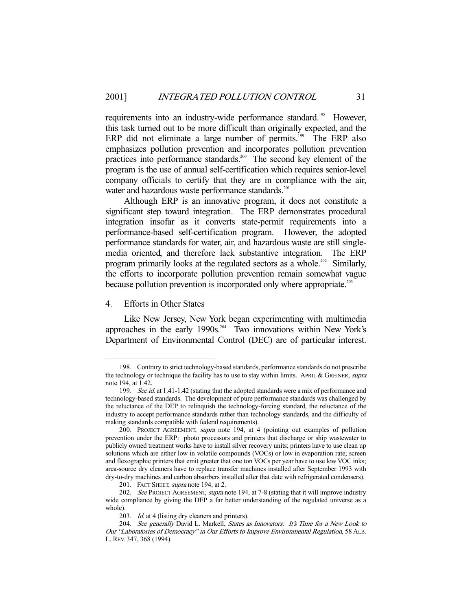requirements into an industry-wide performance standard.<sup>198</sup> However, this task turned out to be more difficult than originally expected, and the ERP did not eliminate a large number of permits.<sup>199</sup> The ERP also emphasizes pollution prevention and incorporates pollution prevention practices into performance standards.<sup>200</sup> The second key element of the program is the use of annual self-certification which requires senior-level company officials to certify that they are in compliance with the air, water and hazardous waste performance standards.<sup>201</sup>

 Although ERP is an innovative program, it does not constitute a significant step toward integration. The ERP demonstrates procedural integration insofar as it converts state-permit requirements into a performance-based self-certification program. However, the adopted performance standards for water, air, and hazardous waste are still singlemedia oriented, and therefore lack substantive integration. The ERP program primarily looks at the regulated sectors as a whole.<sup>202</sup> Similarly, the efforts to incorporate pollution prevention remain somewhat vague because pollution prevention is incorporated only where appropriate.<sup>203</sup>

#### 4. Efforts in Other States

 Like New Jersey, New York began experimenting with multimedia approaches in the early 1990s.<sup>204</sup> Two innovations within New York's Department of Environmental Control (DEC) are of particular interest.

 <sup>198.</sup> Contrary to strict technology-based standards, performance standards do not prescribe the technology or technique the facility has to use to stay within limits. APRIL & GREINER, supra note 194, at 1.42.

<sup>199.</sup> See id. at 1.41-1.42 (stating that the adopted standards were a mix of performance and technology-based standards. The development of pure performance standards was challenged by the reluctance of the DEP to relinquish the technology-forcing standard, the reluctance of the industry to accept performance standards rather than technology standards, and the difficulty of making standards compatible with federal requirements).

<sup>200.</sup> PROJECT AGREEMENT, supra note 194, at 4 (pointing out examples of pollution prevention under the ERP: photo processors and printers that discharge or ship wastewater to publicly owned treatment works have to install silver recovery units; printers have to use clean up solutions which are either low in volatile compounds (VOCs) or low in evaporation rate; screen and flexographic printers that emit greater that one ton VOCs per year have to use low VOC inks; area-source dry cleaners have to replace transfer machines installed after September 1993 with dry-to-dry machines and carbon absorbers installed after that date with refrigerated condensers).

<sup>201.</sup> FACT SHEET, *supra* note 194, at 2.

<sup>202.</sup> See PROJECT AGREEMENT, *supra* note 194, at 7-8 (stating that it will improve industry wide compliance by giving the DEP a far better understanding of the regulated universe as a whole).

<sup>203.</sup> Id. at 4 (listing dry cleaners and printers).

<sup>204.</sup> See generally David L. Markell, States as Innovators: It's Time for a New Look to Our "Laboratories of Democracy" in Our Efforts to Improve Environmental Regulation, 58 ALB. L. REV. 347, 368 (1994).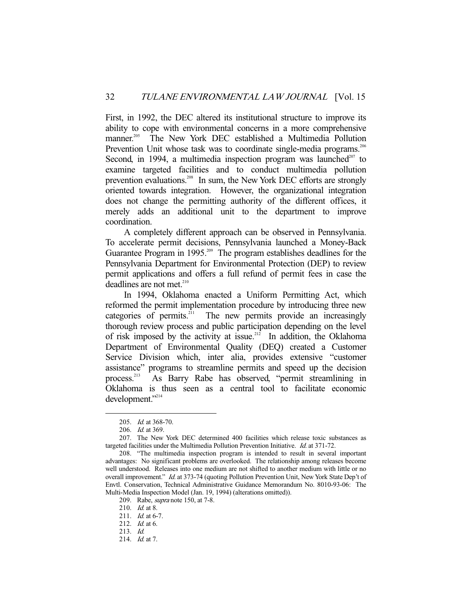First, in 1992, the DEC altered its institutional structure to improve its ability to cope with environmental concerns in a more comprehensive manner.<sup>205</sup> The New York DEC established a Multimedia Pollution Prevention Unit whose task was to coordinate single-media programs.<sup>206</sup> Second, in 1994, a multimedia inspection program was launched $207$  to examine targeted facilities and to conduct multimedia pollution prevention evaluations.<sup>208</sup> In sum, the New York DEC efforts are strongly oriented towards integration. However, the organizational integration does not change the permitting authority of the different offices, it merely adds an additional unit to the department to improve coordination.

 A completely different approach can be observed in Pennsylvania. To accelerate permit decisions, Pennsylvania launched a Money-Back Guarantee Program in 1995.<sup>209</sup> The program establishes deadlines for the Pennsylvania Department for Environmental Protection (DEP) to review permit applications and offers a full refund of permit fees in case the deadlines are not met.<sup>210</sup>

 In 1994, Oklahoma enacted a Uniform Permitting Act, which reformed the permit implementation procedure by introducing three new categories of permits.<sup>211</sup> The new permits provide an increasingly thorough review process and public participation depending on the level of risk imposed by the activity at issue.<sup>212</sup> In addition, the Oklahoma Department of Environmental Quality (DEQ) created a Customer Service Division which, inter alia, provides extensive "customer assistance" programs to streamline permits and speed up the decision process.<sup>213</sup> As Barry Rabe has observed, "permit streamlining in Oklahoma is thus seen as a central tool to facilitate economic development."<sup>214</sup>

-

 <sup>205.</sup> Id. at 368-70.

<sup>206.</sup> Id. at 369.

<sup>207.</sup> The New York DEC determined 400 facilities which release toxic substances as targeted facilities under the Multimedia Pollution Prevention Initiative. Id. at 371-72.

<sup>208. &</sup>quot;The multimedia inspection program is intended to result in several important advantages: No significant problems are overlooked. The relationship among releases become well understood. Releases into one medium are not shifted to another medium with little or no overall improvement." Id. at 373-74 (quoting Pollution Prevention Unit, New York State Dep't of Envtl. Conservation, Technical Administrative Guidance Memorandum No. 8010-93-06: The Multi-Media Inspection Model (Jan. 19, 1994) (alterations omitted)).

<sup>209.</sup> Rabe, *supra* note 150, at 7-8.

<sup>210.</sup> *Id.* at 8.

<sup>211.</sup> Id. at 6-7.

 <sup>212.</sup> Id. at 6.

 <sup>213.</sup> Id.

<sup>214.</sup> Id. at 7.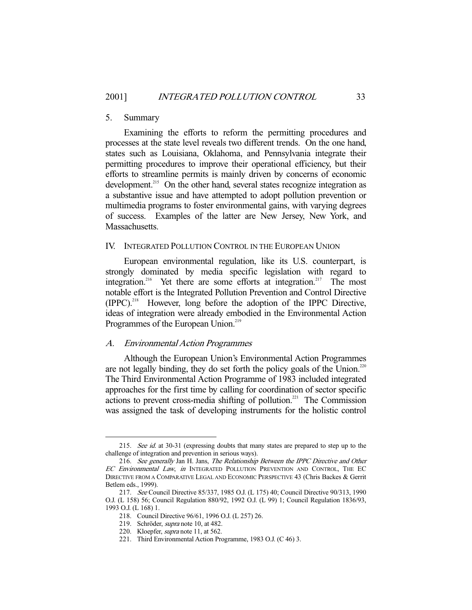#### 5. Summary

 Examining the efforts to reform the permitting procedures and processes at the state level reveals two different trends. On the one hand, states such as Louisiana, Oklahoma, and Pennsylvania integrate their permitting procedures to improve their operational efficiency, but their efforts to streamline permits is mainly driven by concerns of economic development.<sup>215</sup> On the other hand, several states recognize integration as a substantive issue and have attempted to adopt pollution prevention or multimedia programs to foster environmental gains, with varying degrees of success. Examples of the latter are New Jersey, New York, and Massachusetts.

#### IV. INTEGRATED POLLUTION CONTROL IN THE EUROPEAN UNION

 European environmental regulation, like its U.S. counterpart, is strongly dominated by media specific legislation with regard to integration.<sup>216</sup> Yet there are some efforts at integration.<sup>217</sup> The most notable effort is the Integrated Pollution Prevention and Control Directive (IPPC).218 However, long before the adoption of the IPPC Directive, ideas of integration were already embodied in the Environmental Action Programmes of the European Union.<sup>219</sup>

#### A. Environmental Action Programmes

 Although the European Union's Environmental Action Programmes are not legally binding, they do set forth the policy goals of the Union.<sup>220</sup> The Third Environmental Action Programme of 1983 included integrated approaches for the first time by calling for coordination of sector specific actions to prevent cross-media shifting of pollution.<sup>221</sup> The Commission was assigned the task of developing instruments for the holistic control

<sup>215.</sup> See id. at 30-31 (expressing doubts that many states are prepared to step up to the challenge of integration and prevention in serious ways).

<sup>216.</sup> See generally Jan H. Jans, The Relationship Between the IPPC Directive and Other EC Environmental Law, in INTEGRATED POLLUTION PREVENTION AND CONTROL, THE EC DIRECTIVE FROM A COMPARATIVE LEGAL AND ECONOMIC PERSPECTIVE 43 (Chris Backes & Gerrit Betlem eds., 1999).

<sup>217.</sup> See Council Directive 85/337, 1985 O.J. (L 175) 40; Council Directive 90/313, 1990 O.J. (L 158) 56; Council Regulation 880/92, 1992 O.J. (L 99) 1; Council Regulation 1836/93, 1993 O.J. (L 168) 1.

<sup>218.</sup> Council Directive 96/61, 1996 O.J. (L 257) 26.

<sup>219.</sup> Schröder, supra note 10, at 482.

<sup>220.</sup> Kloepfer, supra note 11, at 562.

<sup>221.</sup> Third Environmental Action Programme, 1983 O.J. (C 46) 3.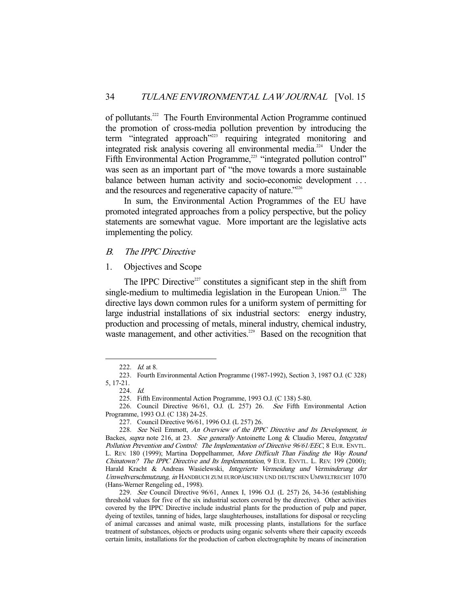of pollutants.222 The Fourth Environmental Action Programme continued the promotion of cross-media pollution prevention by introducing the term "integrated approach"<sup>223</sup> requiring integrated monitoring and integrated risk analysis covering all environmental media.224 Under the Fifth Environmental Action Programme,<sup>225</sup> "integrated pollution control" was seen as an important part of "the move towards a more sustainable balance between human activity and socio-economic development ... and the resources and regenerative capacity of nature."<sup>226</sup>

 In sum, the Environmental Action Programmes of the EU have promoted integrated approaches from a policy perspective, but the policy statements are somewhat vague. More important are the legislative acts implementing the policy.

#### B. The IPPC Directive

#### 1. Objectives and Scope

The IPPC Directive $227$  constitutes a significant step in the shift from single-medium to multimedia legislation in the European Union.<sup>228</sup> The directive lays down common rules for a uniform system of permitting for large industrial installations of six industrial sectors: energy industry, production and processing of metals, mineral industry, chemical industry, waste management, and other activities.<sup>229</sup> Based on the recognition that

229. See Council Directive 96/61, Annex I, 1996 O.J. (L 257) 26, 34-36 (establishing threshold values for five of the six industrial sectors covered by the directive). Other activities covered by the IPPC Directive include industrial plants for the production of pulp and paper, dyeing of textiles, tanning of hides, large slaughterhouses, installations for disposal or recycling of animal carcasses and animal waste, milk processing plants, installations for the surface treatment of substances, objects or products using organic solvents where their capacity exceeds certain limits, installations for the production of carbon electrographite by means of incineration

<sup>222.</sup> *Id.* at 8.

<sup>223.</sup> Fourth Environmental Action Programme (1987-1992), Section 3, 1987 O.J. (C 328) 5, 17-21.

<sup>224.</sup> Id.

<sup>225.</sup> Fifth Environmental Action Programme, 1993 O.J. (C 138) 5-80.

<sup>226.</sup> Council Directive 96/61, O.J. (L 257) 26. See Fifth Environmental Action Programme, 1993 O.J. (C 138) 24-25.

<sup>227.</sup> Council Directive 96/61, 1996 O.J. (L 257) 26.

<sup>228.</sup> See Neil Emmott, An Overview of the IPPC Directive and Its Development, in Backes, supra note 216, at 23. See generally Antoinette Long & Claudio Mereu, Integrated Pollution Prevention and Control: The Implementation of Directive 96/61/EEC, 8 EUR. ENVTL. L. REV. 180 (1999); Martina Doppelhammer, More Difficult Than Finding the Way Round Chinatown? The IPPC Directive and Its Implementation, 9 EUR. ENVTL. L. REV. 199 (2000); Harald Kracht & Andreas Wasielewski, Integrierte Vermeidung und Verminderung der Umweltverschmutzung, in HANDBUCH ZUM EUROPÄISCHEN UND DEUTSCHEN UMWELTRECHT 1070 (Hans-Werner Rengeling ed., 1998).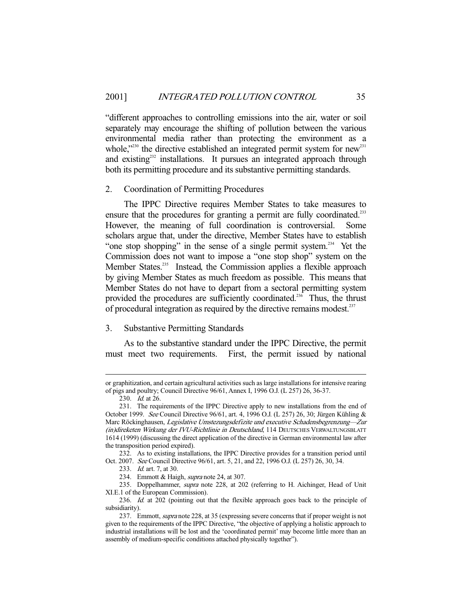"different approaches to controlling emissions into the air, water or soil separately may encourage the shifting of pollution between the various environmental media rather than protecting the environment as a whole," $230$  the directive established an integrated permit system for new<sup>231</sup> and existing<sup>232</sup> installations. It pursues an integrated approach through both its permitting procedure and its substantive permitting standards.

#### 2. Coordination of Permitting Procedures

 The IPPC Directive requires Member States to take measures to ensure that the procedures for granting a permit are fully coordinated.<sup>233</sup> However, the meaning of full coordination is controversial. Some scholars argue that, under the directive, Member States have to establish "one stop shopping" in the sense of a single permit system.<sup>234</sup> Yet the Commission does not want to impose a "one stop shop" system on the Member States.<sup>235</sup> Instead, the Commission applies a flexible approach by giving Member States as much freedom as possible. This means that Member States do not have to depart from a sectoral permitting system provided the procedures are sufficiently coordinated.<sup>236</sup> Thus, the thrust of procedural integration as required by the directive remains modest.<sup>237</sup>

#### 3. Substantive Permitting Standards

 As to the substantive standard under the IPPC Directive, the permit must meet two requirements. First, the permit issued by national

-

232. As to existing installations, the IPPC Directive provides for a transition period until Oct. 2007. See Council Directive 96/61, art. 5, 21, and 22, 1996 O.J. (L 257) 26, 30, 34.

or graphitization, and certain agricultural activities such as large installations for intensive rearing of pigs and poultry; Council Directive 96/61, Annex I, 1996 O.J. (L 257) 26, 36-37.

<sup>230.</sup> *Id.* at 26.

<sup>231.</sup> The requirements of the IPPC Directive apply to new installations from the end of October 1999. See Council Directive 96/61, art. 4, 1996 O.J. (L 257) 26, 30; Jürgen Kühling & Marc Röckinghausen, Legislative Umstezungsdefizite und executive Schadensbegrenzung—Zur (in)direketen Wirkung der IVU-Richtlinie in Deutschland, 114 DEUTSCHES VERWALTUNGSBLATT 1614 (1999) (discussing the direct application of the directive in German environmental law after the transposition period expired).

<sup>233.</sup> Id. art. 7, at 30.

<sup>234.</sup> Emmott & Haigh, *supra* note 24, at 307.

<sup>235.</sup> Doppelhammer, supra note 228, at 202 (referring to H. Aichinger, Head of Unit XI.E.1 of the European Commission).

<sup>236.</sup> Id. at 202 (pointing out that the flexible approach goes back to the principle of subsidiarity).

<sup>237.</sup> Emmott, *supra* note 228, at 35 (expressing severe concerns that if proper weight is not given to the requirements of the IPPC Directive, "the objective of applying a holistic approach to industrial installations will be lost and the 'coordinated permit' may become little more than an assembly of medium-specific conditions attached physically together").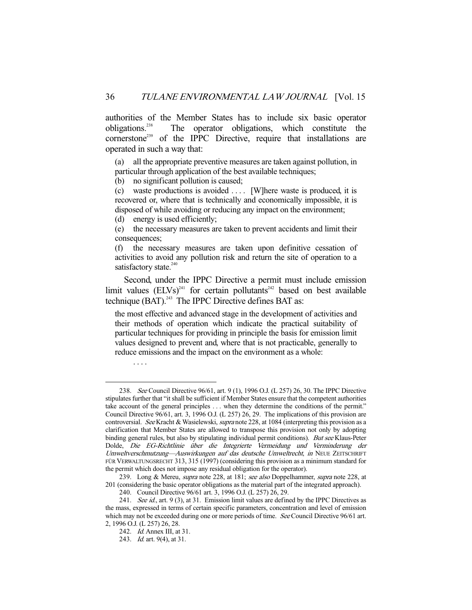authorities of the Member States has to include six basic operator obligations.<sup>238</sup> The operator obligations, which constitute the The operator obligations, which constitute the cornerstone<sup>239</sup> of the IPPC Directive, require that installations are operated in such a way that:

(a) all the appropriate preventive measures are taken against pollution, in particular through application of the best available techniques;

(b) no significant pollution is caused;

(c) waste productions is avoided . . . . [W]here waste is produced, it is recovered or, where that is technically and economically impossible, it is disposed of while avoiding or reducing any impact on the environment;

(d) energy is used efficiently;

(e) the necessary measures are taken to prevent accidents and limit their consequences;

(f) the necessary measures are taken upon definitive cessation of activities to avoid any pollution risk and return the site of operation to a satisfactory state.<sup>240</sup>

 Second, under the IPPC Directive a permit must include emission limit values  $(ELVs)^{241}$  for certain pollutants<sup>242</sup> based on best available technique (BAT).<sup>243</sup> The IPPC Directive defines BAT as:

the most effective and advanced stage in the development of activities and their methods of operation which indicate the practical suitability of particular techniques for providing in principle the basis for emission limit values designed to prevent and, where that is not practicable, generally to reduce emissions and the impact on the environment as a whole:

 <sup>. . . .</sup> 

 <sup>238.</sup> See Council Directive 96/61, art. 9 (1), 1996 O.J. (L 257) 26, 30. The IPPC Directive stipulates further that "it shall be sufficient if Member States ensure that the competent authorities take account of the general principles . . . when they determine the conditions of the permit." Council Directive 96/61, art. 3, 1996 O.J. (L 257) 26, 29. The implications of this provision are controversial. See Kracht & Wasielewski, supra note 228, at 1084 (interpreting this provision as a clarification that Member States are allowed to transpose this provision not only by adopting binding general rules, but also by stipulating individual permit conditions). But see Klaus-Peter Dolde, Die EG-Richtlinie über die Integrierte Vermeidung und Verminderung der Umweltverschmutzung—Auswirkungen auf das deutsche Umweltrecht, in NEUE ZEITSCHRIFT FÜR VERWALTUNGSRECHT 313, 315 (1997) (considering this provision as a minimum standard for the permit which does not impose any residual obligation for the operator).

<sup>239.</sup> Long & Mereu, *supra* note 228, at 181; see also Doppelhammer, supra note 228, at 201 (considering the basic operator obligations as the material part of the integrated approach).

<sup>240.</sup> Council Directive 96/61 art. 3, 1996 O.J. (L 257) 26, 29.

<sup>241.</sup> See id., art. 9 (3), at 31. Emission limit values are defined by the IPPC Directives as the mass, expressed in terms of certain specific parameters, concentration and level of emission which may not be exceeded during one or more periods of time. See Council Directive 96/61 art. 2, 1996 O.J. (L 257) 26, 28.

<sup>242.</sup> Id. Annex III, at 31.

<sup>243.</sup> *Id.* art. 9(4), at 31.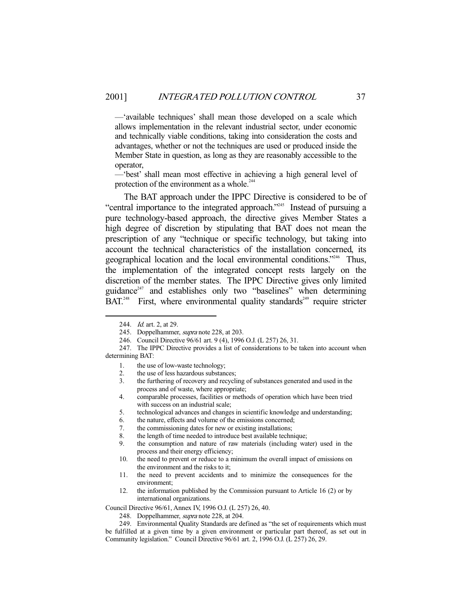—'available techniques' shall mean those developed on a scale which allows implementation in the relevant industrial sector, under economic and technically viable conditions, taking into consideration the costs and advantages, whether or not the techniques are used or produced inside the Member State in question, as long as they are reasonably accessible to the operator,

—'best' shall mean most effective in achieving a high general level of protection of the environment as a whole. $244$ 

 The BAT approach under the IPPC Directive is considered to be of "central importance to the integrated approach."<sup>245</sup> Instead of pursuing a pure technology-based approach, the directive gives Member States a high degree of discretion by stipulating that BAT does not mean the prescription of any "technique or specific technology, but taking into account the technical characteristics of the installation concerned, its geographical location and the local environmental conditions."<sup>246</sup> Thus, the implementation of the integrated concept rests largely on the discretion of the member states. The IPPC Directive gives only limited guidance $e^{247}$  and establishes only two "baselines" when determining  $\overline{B}AT.^{248}$  First, where environmental quality standards<sup>249</sup> require stricter

- 6. the nature, effects and volume of the emissions concerned;
- 7. the commissioning dates for new or existing installations;
- 8. the length of time needed to introduce best available technique;<br>9. the consumption and nature of raw materials (including way
- the consumption and nature of raw materials (including water) used in the process and their energy efficiency;
- 10. the need to prevent or reduce to a minimum the overall impact of emissions on the environment and the risks to it;
- 11. the need to prevent accidents and to minimize the consequences for the environment;
- 12. the information published by the Commission pursuant to Article 16 (2) or by international organizations.

Council Directive 96/61, Annex IV, 1996 O.J. (L 257) 26, 40.

248. Doppelhammer, *supra* note 228, at 204.

249. Environmental Quality Standards are defined as "the set of requirements which must be fulfilled at a given time by a given environment or particular part thereof, as set out in Community legislation." Council Directive 96/61 art. 2, 1996 O.J. (L 257) 26, 29.

<sup>244.</sup> *Id.* art. 2, at 29.

<sup>245.</sup> Doppelhammer, *supra* note 228, at 203.

<sup>246.</sup> Council Directive 96/61 art. 9 (4), 1996 O.J. (L 257) 26, 31.

<sup>247.</sup> The IPPC Directive provides a list of considerations to be taken into account when determining BAT:

<sup>1.</sup> the use of low-waste technology;<br>2. the use of less hazardous substan

the use of less hazardous substances;

<sup>3.</sup> the furthering of recovery and recycling of substances generated and used in the process and of waste, where appropriate;

<sup>4.</sup> comparable processes, facilities or methods of operation which have been tried with success on an industrial scale;

<sup>5.</sup> technological advances and changes in scientific knowledge and understanding;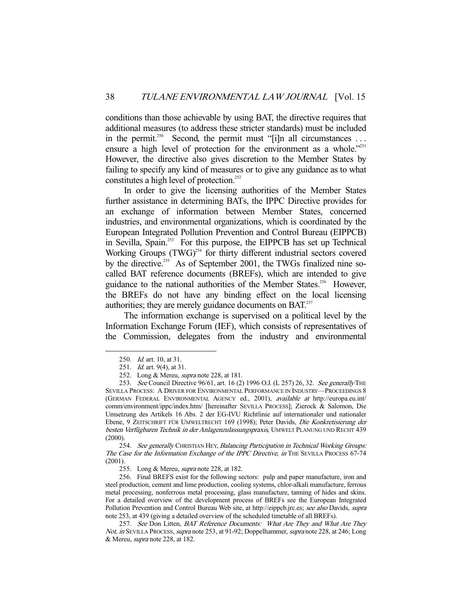conditions than those achievable by using BAT, the directive requires that additional measures (to address these stricter standards) must be included in the permit.<sup>250</sup> Second, the permit must "[i]n all circumstances ... ensure a high level of protection for the environment as a whole."251 However, the directive also gives discretion to the Member States by failing to specify any kind of measures or to give any guidance as to what constitutes a high level of protection.<sup>252</sup>

 In order to give the licensing authorities of the Member States further assistance in determining BATs, the IPPC Directive provides for an exchange of information between Member States, concerned industries, and environmental organizations, which is coordinated by the European Integrated Pollution Prevention and Control Bureau (EIPPCB) in Sevilla, Spain.<sup>253</sup> For this purpose, the EIPPCB has set up Technical Working Groups (TWG)<sup>254</sup> for thirty different industrial sectors covered by the directive.<sup>255</sup> As of September 2001, the TWGs finalized nine socalled BAT reference documents (BREFs), which are intended to give guidance to the national authorities of the Member States.<sup>256</sup> However, the BREFs do not have any binding effect on the local licensing authorities; they are merely guidance documents on BAT.<sup>257</sup>

 The information exchange is supervised on a political level by the Information Exchange Forum (IEF), which consists of representatives of the Commission, delegates from the industry and environmental

254. See generally CHRISTIAN HEY, Balancing Participation in Technical Working Groups: The Case for the Information Exchange of the IPPC Directive, in THE SEVILLA PROCESS 67-74 (2001).

255. Long & Mereu, *supra* note 228, at 182.

256. Final BREFS exist for the following sectors: pulp and paper manufacture, iron and steel production, cement and lime production, cooling systems, chlor-alkali manufacture, ferrous metal processing, nonferrous metal processing, glass manufacture, tanning of hides and skins. For a detailed overview of the development process of BREFs see the European Integrated Pollution Prevention and Control Bureau Web site, at http://eippcb.jrc.es; see also Davids, supra note 253, at 439 (giving a detailed overview of the scheduled timetable of all BREFs).

257. See Don Litten, BAT Reference Documents: What Are They and What Are They Not, in SEVILLA PROCESS, supra note 253, at 91-92; Doppelhammer, supra note 228, at 246; Long & Mereu, supra note 228, at 182.

 <sup>250.</sup> Id. art. 10, at 31.

<sup>251.</sup> *Id.* art. 9(4), at 31.

<sup>252.</sup> Long & Mereu, *supra* note 228, at 181.

<sup>253.</sup> See Council Directive 96/61, art. 16 (2) 1996 O.J. (L 257) 26, 32. See generally THE SEVILLA PROCESS: A DRIVER FOR ENVIRONMENTAL PERFORMANCE IN INDUSTRY—PROCEEDINGS 8 (GERMAN FEDERAL ENVIRONMENTAL AGENCY ed., 2001), available at http://europa.eu.int/ comm/environment/ippc/index.htm/ [hereinafter SEVILLA PROCESS]; Zierock & Salomon, Die Umsetzung des Artikels 16 Abs. 2 der EG-IVU Richtlinie auf internationaler und nationaler Ebene, 9 ZEITSCHRIFT FÜR UMWELTRECHT 169 (1998); Peter Davids, Die Konkretisierung der besten Verfügbaren Technik in der Anlagenzulassungspraxis, UMWELT PLANUNG UND RECHT 439 (2000).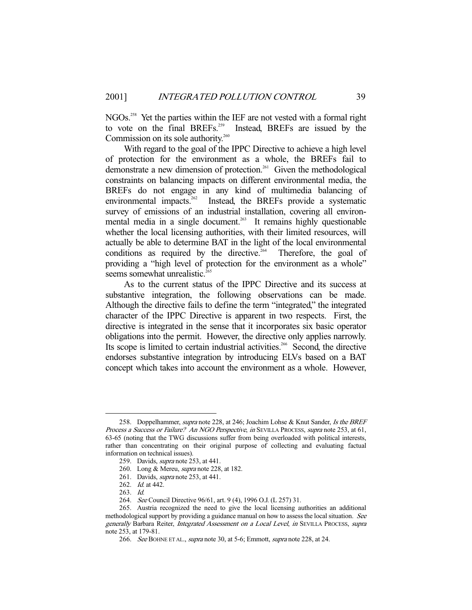NGOs.<sup>258</sup> Yet the parties within the IEF are not vested with a formal right to vote on the final BREFs.<sup>259</sup> Instead, BREFs are issued by the Commission on its sole authority.<sup>260</sup>

 With regard to the goal of the IPPC Directive to achieve a high level of protection for the environment as a whole, the BREFs fail to demonstrate a new dimension of protection.<sup>261</sup> Given the methodological constraints on balancing impacts on different environmental media, the BREFs do not engage in any kind of multimedia balancing of environmental impacts.<sup>262</sup> Instead, the BREFs provide a systematic survey of emissions of an industrial installation, covering all environmental media in a single document.<sup>263</sup> It remains highly questionable whether the local licensing authorities, with their limited resources, will actually be able to determine BAT in the light of the local environmental conditions as required by the directive.<sup>264</sup> Therefore, the goal of providing a "high level of protection for the environment as a whole" seems somewhat unrealistic.<sup>265</sup>

 As to the current status of the IPPC Directive and its success at substantive integration, the following observations can be made. Although the directive fails to define the term "integrated," the integrated character of the IPPC Directive is apparent in two respects. First, the directive is integrated in the sense that it incorporates six basic operator obligations into the permit. However, the directive only applies narrowly. Its scope is limited to certain industrial activities.<sup>266</sup> Second, the directive endorses substantive integration by introducing ELVs based on a BAT concept which takes into account the environment as a whole. However,

<sup>258.</sup> Doppelhammer, *supra* note 228, at 246; Joachim Lohse & Knut Sander, Is the BREF Process a Success or Failure? An NGO Perspective, in SEVILLA PROCESS, supra note 253, at 61, 63-65 (noting that the TWG discussions suffer from being overloaded with political interests, rather than concentrating on their original purpose of collecting and evaluating factual information on technical issues).

<sup>259.</sup> Davids, *supra* note 253, at 441.

<sup>260.</sup> Long & Mereu, supra note 228, at 182.

<sup>261.</sup> Davids, supra note 253, at 441.

<sup>262.</sup> Id. at 442.

<sup>263.</sup> Id.

<sup>264.</sup> See Council Directive 96/61, art. 9 (4), 1996 O.J. (L 257) 31.

<sup>265.</sup> Austria recognized the need to give the local licensing authorities an additional methodological support by providing a guidance manual on how to assess the local situation. See generally Barbara Reiter, Integrated Assessment on a Local Level, in SEVILLA PROCESS, supra note 253, at 179-81.

<sup>266.</sup> See BOHNE ET AL., *supra* note 30, at 5-6; Emmott, *supra* note 228, at 24.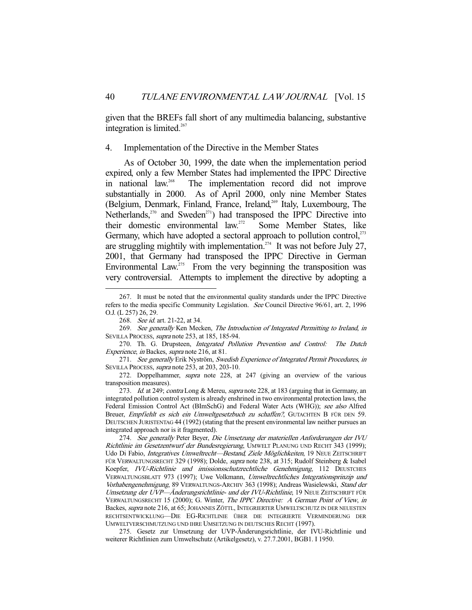given that the BREFs fall short of any multimedia balancing, substantive integration is limited. $267$ 

4. Implementation of the Directive in the Member States

 As of October 30, 1999, the date when the implementation period expired, only a few Member States had implemented the IPPC Directive in national law.268 The implementation record did not improve substantially in 2000. As of April 2000, only nine Member States (Belgium, Denmark, Finland, France, Ireland,<sup>269</sup> Italy, Luxembourg, The Netherlands, $270$  and Sweden<sup>271</sup>) had transposed the IPPC Directive into their domestic environmental law.<sup>272</sup> Some Member States, like Germany, which have adopted a sectoral approach to pollution control,<sup>273</sup> are struggling mightily with implementation.<sup> $274$ </sup> It was not before July 27, 2001, that Germany had transposed the IPPC Directive in German Environmental Law.<sup>275</sup> From the very beginning the transposition was very controversial. Attempts to implement the directive by adopting a

273. Id. at 249; contra Long & Mereu, supra note 228, at 183 (arguing that in Germany, an integrated pollution control system is already enshrined in two environmental protection laws, the Federal Emission Control Act (BImSchG) and Federal Water Acts (WHG)); see also Alfred Breuer, Empfiehlt es sich ein Umweltgesetzbuch zu schaffen?, GUTACHTEN B FÜR DEN 59. DEUTSCHEN JURISTENTAG 44 (1992) (stating that the present environmental law neither pursues an integrated approach nor is it fragmented).

274. See generally Peter Beyer, Die Umsetzung der materiellen Anforderungen der IVU Richtlinie im Gesetzentwurf der Bundesregierung, UMWELT PLANUNG UND RECHT 343 (1999); Udo Di Fabio, Integratives Umweltrecht-Bestand, Ziele Möglichkeiten, 19 NEUE ZEITSCHRIFT FÜR VERWALTUNGSRECHT 329 (1998); Dolde, *supra* note 238, at 315; Rudolf Steinberg & Isabel Koepfer, IVU-Richtlinie und imissionsschutzrechtliche Genehmigung, 112 DEUSTCHES VERWALTUNGSBLATT 973 (1997); Uwe Volkmann, Umweltrechtliches Integrationsprinzip und Vorhabengenehmigung, 89 VERWALTUNGS-ARCHIV 363 (1998); Andreas Wasielewski, Stand der Umsetzung der UVP-Änderungsrichtlinie- und der IVU-Richtlinie, 19 NEUE ZEITSCHRIFT FÜR VERWALTUNGSRECHT 15 (2000); G. Winter, The IPPC Directive: A German Point of View, in Backes, supra note 216, at 65; JOHANNES ZÖTTL, INTEGRIERTER UMWELTSCHUTZ IN DER NEUESTEN RECHTSENTWICKLUNG—DIE EG-RICHTLINIE ÜBER DIE INTEGRIERTE VERMINDERUNG DER UMWELTVERSCHMUTZUNG UND IHRE UMSETZUNG IN DEUTSCHES RECHT (1997).

275. Gesetz zur Umsetzung der UVP-Änderungsrichtlinie, der IVU-Richtlinie und weiterer Richtlinien zum Umweltschutz (Artikelgesetz), v. 27.7.2001, BGB1. I 1950.

 <sup>267.</sup> It must be noted that the environmental quality standards under the IPPC Directive refers to the media specific Community Legislation. See Council Directive 96/61, art. 2, 1996 O.J. (L 257) 26, 29.

<sup>268.</sup> *See id.* art. 21-22, at 34.

<sup>269.</sup> See generally Ken Mecken, The Introduction of Integrated Permitting to Ireland, in SEVILLA PROCESS, supra note 253, at 185, 185-94.

<sup>270.</sup> Th. G. Drupsteen, Integrated Pollution Prevention and Control: The Dutch Experience, in Backes, supra note 216, at 81.

<sup>271.</sup> See generally Erik Nyström, Swedish Experience of Integrated Permit Procedures, in SEVILLA PROCESS, supra note 253, at 203, 203-10.

<sup>272.</sup> Doppelhammer, supra note 228, at 247 (giving an overview of the various transposition measures).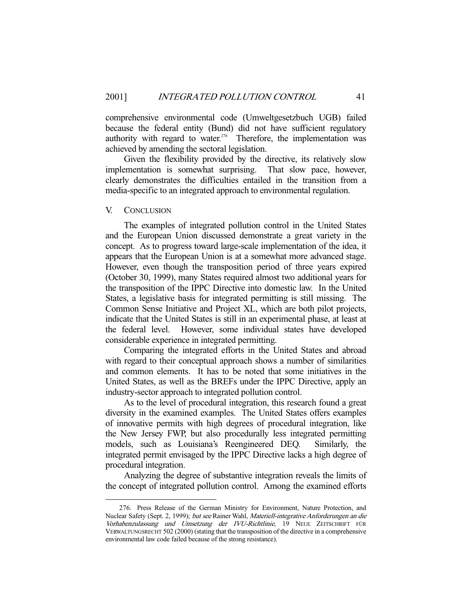comprehensive environmental code (Umweltgesetzbuch UGB) failed because the federal entity (Bund) did not have sufficient regulatory authority with regard to water.<sup>276</sup> Therefore, the implementation was achieved by amending the sectoral legislation.

 Given the flexibility provided by the directive, its relatively slow implementation is somewhat surprising. That slow pace, however, clearly demonstrates the difficulties entailed in the transition from a media-specific to an integrated approach to environmental regulation.

#### V. CONCLUSION

 The examples of integrated pollution control in the United States and the European Union discussed demonstrate a great variety in the concept. As to progress toward large-scale implementation of the idea, it appears that the European Union is at a somewhat more advanced stage. However, even though the transposition period of three years expired (October 30, 1999), many States required almost two additional years for the transposition of the IPPC Directive into domestic law. In the United States, a legislative basis for integrated permitting is still missing. The Common Sense Initiative and Project XL, which are both pilot projects, indicate that the United States is still in an experimental phase, at least at the federal level. However, some individual states have developed considerable experience in integrated permitting.

 Comparing the integrated efforts in the United States and abroad with regard to their conceptual approach shows a number of similarities and common elements. It has to be noted that some initiatives in the United States, as well as the BREFs under the IPPC Directive, apply an industry-sector approach to integrated pollution control.

 As to the level of procedural integration, this research found a great diversity in the examined examples. The United States offers examples of innovative permits with high degrees of procedural integration, like the New Jersey FWP, but also procedurally less integrated permitting models, such as Louisiana's Reengineered DEQ. Similarly, the integrated permit envisaged by the IPPC Directive lacks a high degree of procedural integration.

 Analyzing the degree of substantive integration reveals the limits of the concept of integrated pollution control. Among the examined efforts

 <sup>276.</sup> Press Release of the German Ministry for Environment, Nature Protection, and Nuclear Safety (Sept. 2, 1999); but see Rainer Wahl, Materiell-integrative Anforderungen an die Vorhabenzulassung und Umsetzung der IVU-Richtlinie, 19 NEUE ZEITSCHRIFT FÜR VERWALTUNGSRECHT 502 (2000) (stating that the transposition of the directive in a comprehensive environmental law code failed because of the strong resistance).